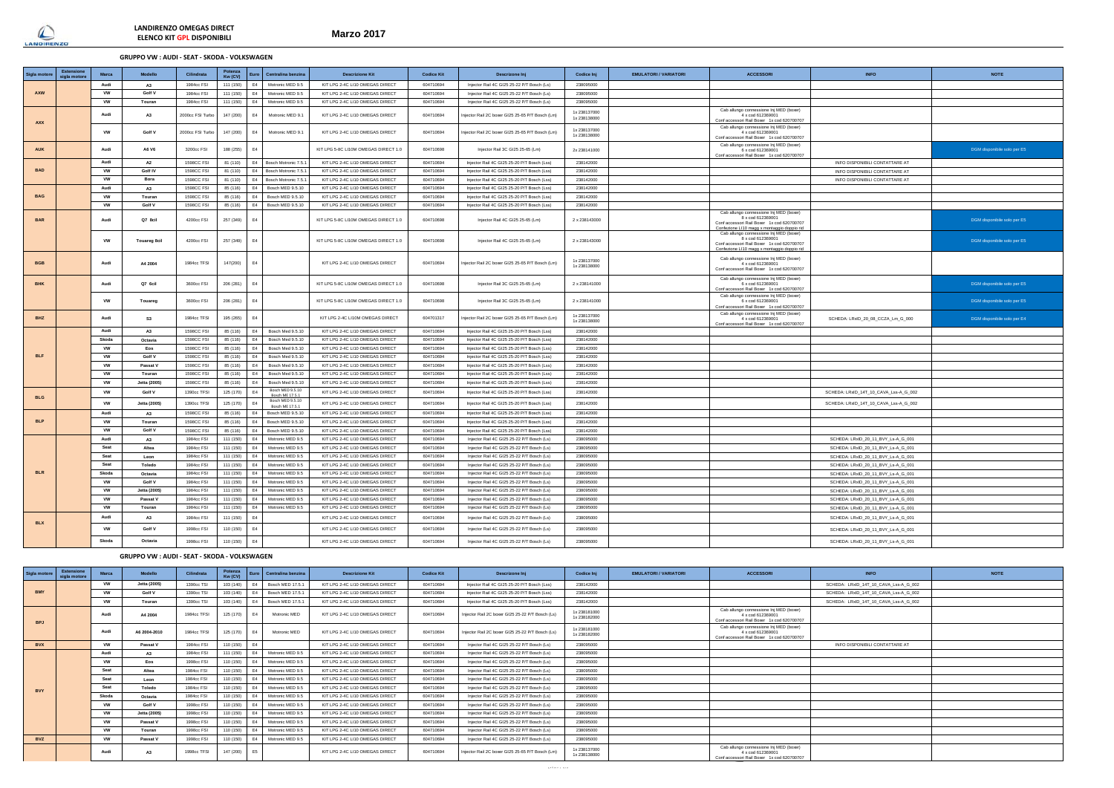

**Marzo 2017**

# **GRUPPO VW : AUDI - SEAT - SKODA - VOLKSWAGEN**

**LANDIRENZO OMEGAS DIRECT ELENCO KIT GPL DISPONIBILI**

| Sigla motore | Fetens<br>sigla motor | <b>Marca</b> | Modello             | Cilindrata        | Potenza<br>Kw (CV) |                | Centralina benzina                  | <b>Descrizione Kit</b>               | <b>Codice Kit</b> | <b>Descrizone Ini</b>                            | Codice Inj                  | <b>EMULATORI / VARIATORI</b> | <b>ACCESSORI</b>                                                                                                                                          | <b>INFO</b>                           | <b>NOTE</b>                 |
|--------------|-----------------------|--------------|---------------------|-------------------|--------------------|----------------|-------------------------------------|--------------------------------------|-------------------|--------------------------------------------------|-----------------------------|------------------------------|-----------------------------------------------------------------------------------------------------------------------------------------------------------|---------------------------------------|-----------------------------|
|              |                       | Audi         | A3                  | 1984cc FSI        | 111 (150)          | E4             | Motronic MED 9.5                    | KIT LPG 2-4C LI10 OMEGAS DIRECT      | 604710694         | Injector Rail 4C GI25 25-22 P/T Bosch (Ls)       | 238095000                   |                              |                                                                                                                                                           |                                       |                             |
| AXW          |                       | <b>VW</b>    | Golf V              | 1984cc FSI        | 111 (150)          | E4             | Motronic MED 9.5                    | KIT LPG 2-4C LI10 OMEGAS DIRECT      | 604710694         | Injector Rail 4C GI25 25-22 P/T Bosch (Ls)       | 238095000                   |                              |                                                                                                                                                           |                                       |                             |
|              |                       | <b>VW</b>    | Touran              | 1984cc FSI        | 111 (150)          | E4             | Motronic MED 9.5                    | KIT LPG 2-4C LI10 OMEGAS DIRECT      | 604710694         | Injector Rail 4C GI25 25-22 P/T Bosch (Ls)       | 238095000                   |                              |                                                                                                                                                           |                                       |                             |
| AXX          |                       | Audi         | <b>A3</b>           | 2000cc FSI Turbo  | 147 (200)          | E4             | Motronic MED 9.1                    | KIT LPG 2-4C LI10 OMEGAS DIRECT      | 604710694         | Injector Rail 2C boxer GI25 25-65 P/T Bosch (Lm) | 1x238137000<br>1x 238138000 |                              | Cab allungo connessione Inj MED (boxer)<br>4 x cod 612369001<br>Conf accessori Rail Boxer 1x cod 620700707                                                |                                       |                             |
|              |                       | <b>VW</b>    | Golf V              | 2000cc FSI Turbo  | 147 (200)          | E4             | Motronic MED 9.1                    | KIT LPG 2-4C LI10 OMEGAS DIRECT      | 604710694         | Injector Rail 2C boxer GI25 25-65 P/T Bosch (Lm) | 1x238137000<br>1x 238138000 |                              | Cab allungo connessione Inj MED (boxer)<br>4 x cod 612369001<br>Conf accessori Rail Boxer 1x cod 620700707                                                |                                       |                             |
| <b>AUK</b>   |                       | Audi         | A6 V6               | 3200cc FSI        | 188 (255)          | F4             |                                     | KIT LPG 5-8C LI10M OMEGAS DIRECT 1.0 | 604710698         | Injector Rail 3C GI25 25-65 (Lm)                 | 2x 238141000                |                              | Cab allungo connessione Inj MED (boxer)<br>6 x cod 612369001<br>Conf accessori Rail Boxer 1x cod 620700707                                                |                                       | DGM disponibile solo per E5 |
|              |                       | Audi         | A2                  | <b>1598CC FSI</b> | 81 (110)           | E4             | Bosch Motronic 7.5.                 | KIT LPG 2-4C LI10 OMEGAS DIRECT      | 604710694         | Injector Rail 4C GI25 25-20 P/T Bosch (Lss)      | 238142000                   |                              |                                                                                                                                                           | INFO DISPONIBILI CONTATTARE AT        |                             |
| <b>BAD</b>   |                       | <b>VW</b>    | Golf IV             | <b>1598CC FSI</b> | 81 (110)           | E4             | Bosch Motronic 7.5.                 | KIT LPG 2-4C LI10 OMEGAS DIRECT      | 604710694         | Injector Rail 4C GI25 25-20 P/T Bosch (Lss)      | 238142000                   |                              |                                                                                                                                                           | INFO DISPONIBILI CONTATTARE AT        |                             |
|              |                       | <b>VW</b>    | Bora                | <b>1598CC FSI</b> | 81 (110)           | E4             | Bosch Motronic 7.5                  | KIT LPG 2-4C LI10 OMEGAS DIRECT      | 604710694         | Injector Rail 4C GI25 25-20 P/T Bosch (Lss)      | 238142000                   |                              |                                                                                                                                                           | INFO DISPONIBILI CONTATTARE AT        |                             |
|              |                       | Audi         | A <sub>3</sub>      | <b>1598CC FSI</b> | 85 (116)           | F4             | Bosch MED 9.5.10                    | KIT LPG 2-4C LI10 OMEGAS DIRECT      | 604710694         | Injector Rail 4C GI25 25-20 P/T Bosch (Lss)      | 238142000                   |                              |                                                                                                                                                           |                                       |                             |
| <b>BAG</b>   |                       | <b>VW</b>    | Touran              | <b>1598CC FSI</b> | 85 (116)           | E4             | Bosch MED 9.5.10                    | KIT LPG 2-4C LI10 OMEGAS DIRECT      | 604710694         | Injector Rail 4C GI25 25-20 P/T Bosch (Lss)      | 238142000                   |                              |                                                                                                                                                           |                                       |                             |
|              |                       | <b>VW</b>    | Golf V              | <b>1598CC FSI</b> | 85 (116)           | E4             | Bosch MED 9.5.10                    | KIT LPG 2-4C LI10 OMEGAS DIRECT      | 604710694         | Injector Rail 4C GI25 25-20 P/T Bosch (Lss)      | 238142000                   |                              |                                                                                                                                                           |                                       |                             |
| <b>BAR</b>   |                       | Audi         | Q7 8cil             | 4200cc FSI        | 257 (349)          | E <sub>4</sub> |                                     | KIT LPG 5-8C LI10M OMEGAS DIRECT 1.0 | 604710698         | Injector Rail 4C GI25 25-65 (Lm)                 | 2 x 238143000               |                              | Cab allungo connessione Inj MED (boxer)<br>8 x cod 61236900<br>Conf accessori Rail Boxer 1x cod 620700707<br>Confezione LI10 magg x montaggio doppio rid  |                                       | DGM disponibile solo per E5 |
|              |                       | <b>VW</b>    | <b>Touareg 8cil</b> | 4200cc FSI        | 257 (349)          | E4             |                                     | KIT LPG 5-8C LI10M OMEGAS DIRECT 1.0 | 604710698         | Injector Rail 4C GI25 25-65 (Lm)                 | 2 x 238143000               |                              | Cab allungo connessione Inj MED (boxer)<br>8 x cod 612369001<br>Conf accessori Rail Boxer 1x cod 620700707<br>Confezione LI10 maggi x montaggio doppio ri |                                       | DGM disponibile solo per E5 |
| <b>BGE</b>   |                       | Audi         | A4 2004             | 1984cc TFSI       | 147(200)           | E4             |                                     | KIT LPG 2-4C LI10 OMEGAS DIRECT      | 604710694         | njector Rail 2C boxer GI25 25-65 P/T Bosch (Lm)  | 1x238137000<br>1x238138000  |                              | Cab allungo connessione Inj MED (boxer)<br>4 x cod 612369001<br>Conf accessori Rail Boxer 1x cod 620700707                                                |                                       |                             |
| <b>RHK</b>   |                       | Audi         | Q7 6cil             | 3600cc FSI        | 206 (281)          | F4             |                                     | KIT LPG 5-8C LI10M OMEGAS DIRECT 1.0 | 604710698         | Injector Rail 3C GI25 25-65 (Lm)                 | 2 x 238141000               |                              | Cab allungo connessione Inj MED (boxer)<br>6 x cod 612369001<br>Conf accessori Rail Boxer 1x cod 620700707                                                |                                       | DGM disponibile solo per E5 |
|              |                       | <b>VW</b>    | Touareg             | 3600cc FSI        | 206 (281)          | F4             |                                     | KIT LPG 5-8C LI10M OMEGAS DIRECT 1.0 | 604710698         | Injector Rail 3C GI25 25-65 (Lm)                 | 2 x 238141000               |                              | Cab allungo connessione Inj MED (boxer)<br>6 x cod 612369001<br>Conf accessori Rail Boxer 1x cod 620700707                                                |                                       | DGM disponibile solo per E5 |
| <b>BHZ</b>   |                       | Audi         | S <sub>3</sub>      | 1984cc TFSI       | 195 (265)          | E4             |                                     | KIT LPG 2-4C LI10M OMEGAS DIRECT     | 604701317         | njector Rail 2C boxer GI25 25-65 P/T Bosch (Lm)  | 1x238137000<br>1x 238138000 |                              | Cab allungo connessione Inj MED (boxer)<br>4 x cod 612369001<br>Conf accessori Rail Boxer 1x cod 620700707                                                | SCHEDA: LRxID_20_08_CCZA_Lm_G_000     | DGM disponibile solo per E4 |
|              |                       | Audi         | A3                  | <b>1598CC FSI</b> | 85 (116)           | E4             | Bosch Med 9.5.10                    | KIT LPG 2-4C LI10 OMEGAS DIRECT      | 604710694         | Injector Rail 4C GI25 25-20 P/T Bosch (Lss)      | 238142000                   |                              |                                                                                                                                                           |                                       |                             |
|              |                       | Skoda        | Octavia             | <b>1598CC FSI</b> | 85 (116)           | E4             | Bosch Med 9.5.10                    | KIT LPG 2-4C LI10 OMEGAS DIRECT      | 604710694         | Injector Rail 4C GI25 25-20 P/T Bosch (Lss)      | 238142000                   |                              |                                                                                                                                                           |                                       |                             |
|              |                       | <b>VW</b>    | Eos                 | 1598CC FSI        | 85 (116)           | E4             | Bosch Med 9.5.10                    | KIT LPG 2-4C LI10 OMEGAS DIRECT      | 604710694         | Injector Rail 4C GI25 25-20 P/T Bosch (Lss)      | 238142000                   |                              |                                                                                                                                                           |                                       |                             |
| <b>BLF</b>   |                       | VW           | Golf V              | <b>1598CC FSI</b> | 85 (116)           | E4             | Bosch Med 9.5.1                     | KIT LPG 2-4C LI10 OMEGAS DIRECT      | 604710694         | Injector Rail 4C GI25 25-20 P/T Bosch (Lss)      | 238142000                   |                              |                                                                                                                                                           |                                       |                             |
|              |                       | <b>VW</b>    | Passat V            | <b>1598CC FSI</b> | 85 (116)           | E4             | Bosch Med 9.5.10                    | KIT LPG 2-4C LI10 OMEGAS DIRECT      | 604710694         | Injector Rail 4C GI25 25-20 P/T Bosch (Lss)      | 238142000                   |                              |                                                                                                                                                           |                                       |                             |
|              |                       | <b>VW</b>    | Touran              | <b>1598CC FSI</b> | 85 (116)           | E4             | Bosch Med 9.5.10                    | KIT LPG 2-4C LI10 OMEGAS DIRECT      | 604710694         | Injector Rail 4C GI25 25-20 P/T Bosch (Lss)      | 238142000                   |                              |                                                                                                                                                           |                                       |                             |
|              |                       | <b>VW</b>    | Jetta (2005)        | <b>1598CC FSI</b> | 85 (116)           | E4             | Bosch Med 9.5.10                    | KIT LPG 2-4C LI10 OMEGAS DIRECT      | 604710694         | Injector Rail 4C GI25 25-20 P/T Bosch (Lss)      | 238142000                   |                              |                                                                                                                                                           |                                       |                             |
| <b>BLG</b>   |                       | <b>VW</b>    | Golf V              | 1390cc TFSI       | 125 (170)          | E4             | Bosch MED 9.5.10<br>Bosch ME 17.5.1 | KIT LPG 2-4C LI10 OMEGAS DIRECT      | 604710694         | Injector Rail 4C GI25 25-20 P/T Bosch (Lss)      | 238142000                   |                              |                                                                                                                                                           | SCHEDA: LRxID_14T_10_CAVA_Lss-A_G_002 |                             |
|              |                       | VW           | Jetta (2005)        | 1390cc TFSI       | 125 (170)          | E4             | Bosch MED 9.5.10<br>Bosch ME 17.5.1 | KIT LPG 2-4C LI10 OMEGAS DIRECT      | 604710694         | Injector Rail 4C GI25 25-20 P/T Bosch (Lss)      | 238142000                   |                              |                                                                                                                                                           | SCHEDA: LRxID_14T_10_CAVA_Lss-A_G_002 |                             |
|              |                       | Audi         | <b>A3</b>           | <b>1598CC FSI</b> | 85 (116)           | E4             | Bosch MED 9.5.10                    | KIT LPG 2-4C LI10 OMEGAS DIRECT      | 604710694         | Injector Rail 4C GI25 25-20 P/T Bosch (Lss)      | 238142000                   |                              |                                                                                                                                                           |                                       |                             |
| <b>BLP</b>   |                       | <b>VW</b>    | Touran              | <b>1598CC FSI</b> | 85 (116)           | E4             | Bosch MED 9.5.10                    | KIT LPG 2-4C LI10 OMEGAS DIRECT      | 604710694         | Injector Rail 4C GI25 25-20 P/T Bosch (Lss)      | 238142000                   |                              |                                                                                                                                                           |                                       |                             |
|              |                       | <b>VW</b>    | Golf V              | <b>1598CC FSI</b> | 85 (116)           | E4             | Bosch MED 9.5.10                    | KIT LPG 2-4C LI10 OMEGAS DIRECT      | 604710694         | Injector Rail 4C GI25 25-20 P/T Bosch (Lss)      | 238142000                   |                              |                                                                                                                                                           |                                       |                             |
|              |                       | Audi         | <b>A3</b>           | 1984cc FSI        | 111 (150)          | E4             | Motronic MED 9.5                    | KIT LPG 2-4C LI10 OMEGAS DIRECT      | 604710694         | Injector Rail 4C GI25 25-22 P/T Bosch (Ls)       | 238095000                   |                              |                                                                                                                                                           | SCHEDA: LRxID 20 11 BVY Ls-A G 001    |                             |
|              |                       | Seat         | Altea               | 1984cc FSI        | 111 (150)          | E4             | Motronic MED 9.5                    | KIT LPG 2-4C LI10 OMEGAS DIRECT      | 604710694         | Injector Rail 4C GI25 25-22 P/T Bosch (Ls)       | 238095000                   |                              |                                                                                                                                                           | SCHEDA: LRxID_20_11_BVY_Ls-A_G_001    |                             |
|              |                       | Seat         | Leon                | 1984cc FSI        | 111 (150)          | E4             | Motronic MED 9.5                    | KIT LPG 2-4C LI10 OMEGAS DIRECT      | 604710694         | Injector Rail 4C GI25 25-22 P/T Bosch (Ls)       | 238095000                   |                              |                                                                                                                                                           | SCHEDA: LRxID_20_11_BVY_Ls-A_G_001    |                             |
|              |                       | Seat         | Toledo              | 1984cc FSI        | 111 (150)          | E4             | Motronic MED 9.5                    | KIT LPG 2-4C LI10 OMEGAS DIRECT      | 604710694         | Injector Rail 4C GI25 25-22 P/T Bosch (Ls)       | 238095000                   |                              |                                                                                                                                                           | SCHEDA: LRxID_20_11_BVY_Ls-A_G_001    |                             |
| <b>BLR</b>   |                       | Skoda        | Octavia             | 1984cc FSI        | 111 (150)          | F4             | Motronic MED 9.5                    | KIT LPG 2-4C LI10 OMEGAS DIRECT      | 604710694         | Injector Rail 4C GI25 25-22 P/T Bosch (Ls)       | 238095000                   |                              |                                                                                                                                                           | SCHEDA: LRxID_20_11_BVY_Ls-A_G_001    |                             |
|              |                       | <b>VW</b>    | Golf V              | 1984cc FSI        | 111 (150)          | E4             | Motronic MED 9.5                    | KIT LPG 2-4C LI10 OMEGAS DIRECT      | 604710694         | Injector Rail 4C GI25 25-22 P/T Bosch (Ls)       | 238095000                   |                              |                                                                                                                                                           | SCHEDA: LRxID_20_11_BVY_Ls-A_G_001    |                             |
|              |                       | <b>VW</b>    | Jetta (2005)        | 1984cc FSI        | 111 (150)          | E4             | Motronic MED 9.5                    | KIT LPG 2-4C LI10 OMEGAS DIRECT      | 604710694         | Injector Rail 4C GI25 25-22 P/T Bosch (Ls)       | 238095000                   |                              |                                                                                                                                                           | SCHEDA: LRxID_20_11_BVY_Ls-A_G_001    |                             |
|              |                       | <b>VW</b>    | Passat \            | 1984cc FSI        | 111 (150)          | F4             | Motronic MED 9.5                    | KIT LPG 2-4C LI10 OMEGAS DIRECT      | 604710694         | Injector Rail 4C GI25 25-22 P/T Bosch (Ls)       | 238095000                   |                              |                                                                                                                                                           | SCHEDA: LRxID_20_11_BVY_Ls-A_G_001    |                             |
|              |                       | <b>VW</b>    | Touran              | 1984cc FSI        | 111 (150)          | E4             | Motronic MED 9.5                    | KIT LPG 2-4C LI10 OMEGAS DIRECT      | 604710694         | Injector Rail 4C GI25 25-22 P/T Bosch (Ls)       | 238095000                   |                              |                                                                                                                                                           | SCHEDA: LRxID_20_11_BVY_Ls-A_G_001    |                             |
|              |                       | Audi         | A3                  | 1984cc FSI        | 111 (150)          | E4             |                                     | KIT LPG 2-4C LI10 OMEGAS DIRECT      | 604710694         | Injector Rail 4C GI25 25-22 P/T Bosch (Ls)       | 238095000                   |                              |                                                                                                                                                           | SCHEDA: LRxID_20_11_BVY_Ls-A_G_001    |                             |
| <b>BLX</b>   |                       | <b>VW</b>    | Golf V              | 1998cc FSI        | 110 (150)          | E4             |                                     | KIT LPG 2-4C LI10 OMEGAS DIRECT      | 604710694         | Injector Rail 4C GI25 25-22 P/T Bosch (Ls)       | 238095000                   |                              |                                                                                                                                                           | SCHEDA: LRxID_20_11_BVY_Ls-A_G_001    |                             |
|              |                       | Skoda        | Octavia             | 1998cc FSI        | 110 (150)          | E4             |                                     | KIT LPG 2-4C LI10 OMEGAS DIRECT      | 604710694         | Injector Rail 4C GI25 25-22 P/T Bosch (Ls)       | 238095000                   |                              |                                                                                                                                                           | SCHEDA: LRxID 20 11 BVY Ls-A G 001    |                             |
|              |                       |              |                     |                   |                    |                |                                     |                                      |                   |                                                  |                             |                              |                                                                                                                                                           |                                       |                             |

# **GRUPPO VW : AUDI - SEAT - SKODA - VOLKSWAGEN**

| Sigla motore | Estensione<br>sigla motore | <b>Marca</b> | Modello      | Cilindrata  | Potenza<br>Kw (CV) |                | Euro Centralina benzina | <b>Descrizione Kit</b>          | <b>Codice Kit</b> | <b>Descrizone Ini</b>                            | Codice Ini                  | <b>EMULATORI / VARIATORI</b> | <b>ACCESSORI</b>                                                                                           | <b>INFO</b>                           | <b>NOTE</b> |
|--------------|----------------------------|--------------|--------------|-------------|--------------------|----------------|-------------------------|---------------------------------|-------------------|--------------------------------------------------|-----------------------------|------------------------------|------------------------------------------------------------------------------------------------------------|---------------------------------------|-------------|
|              |                            | <b>VW</b>    | Jetta (2005) | 1390cc TSL  | 103 (140) E4       |                | Bosch MED 17.5.         | KIT LPG 2-4C LI10 OMEGAS DIRECT | 604710694         | Injector Rail 4C GI25 25-20 P/T Bosch (Lss)      | 238142000                   |                              |                                                                                                            | SCHEDA: LRxID 14T 10 CAVA Lss-A G 002 |             |
| <b>BMY</b>   |                            | <b>VW</b>    | Golf V       | 1390cc TSL  | 103 (140)          | E4             | Bosch MED 17.5.1        | KIT LPG 2-4C LI10 OMEGAS DIRECT | 604710694         | Injector Rail 4C GI25 25-20 P/T Bosch (Lss)      | 238142000                   |                              |                                                                                                            | SCHEDA: LRxID 14T 10 CAVA Lss-A G 002 |             |
|              |                            | <b>VW</b>    | Touran       | 1390cc TSI  | 103 (140) E4       |                | Bosch MED 17.5.         | KIT LPG 2-4C LI10 OMEGAS DIRECT | 604710694         | Injector Rail 4C GI25 25-20 P/T Bosch (Lss)      | 238142000                   |                              |                                                                                                            | SCHEDA: LRxID 14T 10 CAVA Lss-A G 002 |             |
| <b>BPJ</b>   |                            | Audi         | A4 2004      | 1984cc TFSL | 125 (170)          | FA             | Motronic MED            | KIT LPG 2-4C LI10 OMEGAS DIRECT | 604710694         | Injector Rail 2C boxer GI25 25-22 P/T Bosch (Ls) | 1x238181000<br>1x 238182000 |                              | Cab allungo connessione Inj MED (boxer)<br>4 x cod 612369001<br>Conf accessori Rail Boxer 1x cod 620700707 |                                       |             |
|              |                            | Audi         | A6 2004-2010 | 1984cc TFSL | 125 (170)          | FA             | Motronic MED            | KIT LPG 2-4C LI10 OMEGAS DIRECT | 604710694         | Injector Rail 2C boxer GI25 25-22 P/T Bosch (Ls) | 1x238181000<br>1x238182000  |                              | Cab allungo connessione Ini MED (boxer)<br>4 x cod 612369001<br>Conf accessori Rail Boxer 1x cod 620700707 |                                       |             |
| <b>BVX</b>   |                            | <b>VW</b>    | Passat V     | 1984cc ESI  | 110 (150) E4       |                |                         | KIT LPG 2-4C LI10 OMEGAS DIRECT | 604710694         | Injector Rail 4C GI25 25-22 P/T Bosch (Ls)       | 238095000                   |                              |                                                                                                            | INFO DISPONIBILI CONTATTARE AT        |             |
|              |                            | Audi         | A3           | 1984cc FSI  | 111 (150) E4       |                | Motronic MED 9.5        | KIT LPG 2-4C LI10 OMEGAS DIRECT | 604710694         | Injector Rail 4C GI25 25-22 P/T Bosch (Ls)       | 238095000                   |                              |                                                                                                            |                                       |             |
|              |                            | <b>VW</b>    | Eos          | 1998cc ESI  | 110 (150)          | E4             | Motronic MED 9.5        | KIT LPG 2-4C LI10 OMEGAS DIRECT | 604710694         | Injector Rail 4C GI25 25-22 P/T Bosch (Ls)       | 238095000                   |                              |                                                                                                            |                                       |             |
|              |                            | Seat         | Altea        | 1984cc FSI  | 110 (150) E4       |                | Motronic MED 9.5        | KIT LPG 2-4C LI10 OMEGAS DIRECT | 604710694         | Injector Rail 4C GI25 25-22 P/T Bosch (Ls)       | 238095000                   |                              |                                                                                                            |                                       |             |
|              |                            | Seat         | Leon         | 1984cc FSI  | 110 (150)          | E4             | Motronic MED 9.5        | KIT LPG 2-4C LI10 OMEGAS DIRECT | 604710694         | Injector Rail 4C GI25 25-22 P/T Bosch (Ls)       | 238095000                   |                              |                                                                                                            |                                       |             |
| <b>RVY</b>   |                            | Seat         | Toledo       | 1984cc FSI  | 110 (150)          | E4             | Motronic MED 9.5        | KIT LPG 2-4C LI10 OMEGAS DIRECT | 604710694         | Injector Rail 4C GI25 25-22 P/T Bosch (Ls)       | 238095000                   |                              |                                                                                                            |                                       |             |
|              |                            | Skoda        | Octavia      | 1984cc FSI  | 110 (150)          | E4             | Motronic MED 9.5        | KIT LPG 2-4C LI10 OMEGAS DIRECT | 604710694         | Injector Rail 4C GI25 25-22 P/T Bosch (Ls)       | 238095000                   |                              |                                                                                                            |                                       |             |
|              |                            | <b>VW</b>    | Golf V       | 1998cc ESI  | 110 (150)          | E4             | Motronic MED 9.5        | KIT LPG 2-4C LI10 OMEGAS DIRECT | 604710694         | Injector Rail 4C GI25 25-22 P/T Bosch (Ls)       | 238095000                   |                              |                                                                                                            |                                       |             |
|              |                            | <b>VW</b>    | Jetta (2005) | 1998cc FSI  | 110 (150)          | E4             | Motronic MED 9.5        | KIT LPG 2-4C LI10 OMEGAS DIRECT | 604710694         | Injector Rail 4C GI25 25-22 P/T Bosch (Ls)       | 238095000                   |                              |                                                                                                            |                                       |             |
|              |                            | <b>VW</b>    | Passat V     | 1998cc ESL  | 110 (150)          | F4             | Motronic MED 9.5        | KIT LPG 2-4C LI10 OMEGAS DIRECT | 604710694         | Injector Rail 4C GI25 25-22 P/T Bosch (Ls)       | 238095000                   |                              |                                                                                                            |                                       |             |
|              |                            | <b>VW</b>    | Touran       | 1998cc ESL  | 110 (150)          | F4             | Motronic MED 9.5        | KIT LPG 2-4C LI10 OMEGAS DIRECT | 604710694         | Injector Rail 4C GI25 25-22 P/T Bosch (Ls)       | 238095000                   |                              |                                                                                                            |                                       |             |
| <b>BVZ</b>   |                            | <b>VW</b>    | Passat V     | 1998cc FSI  | 110 (150) E4       |                | Motronic MED 9.5        | KIT LPG 2-4C LI10 OMEGAS DIRECT | 604710694         | Injector Rail 4C GI25 25-22 P/T Bosch (Ls)       | 238095000                   |                              |                                                                                                            |                                       |             |
|              |                            | Audi         | $\mathbf{A}$ | 1998cc TFSI | 147 (200)          | F <sub>5</sub> |                         | KIT LPG 2-4C LI10 OMEGAS DIRECT | 604710694         | Injector Rail 2C boxer GI25 25-65 P/T Bosch (Lm) | 1x238137000<br>1x 238138000 |                              | Cab allungo connessione Ini MED (boxer)<br>4 x cod 612369001<br>Conf accessori Rail Boxer 1x cod 620700707 |                                       |             |
|              |                            |              |              |             |                    |                |                         |                                 |                   | Antonio and                                      |                             |                              |                                                                                                            |                                       |             |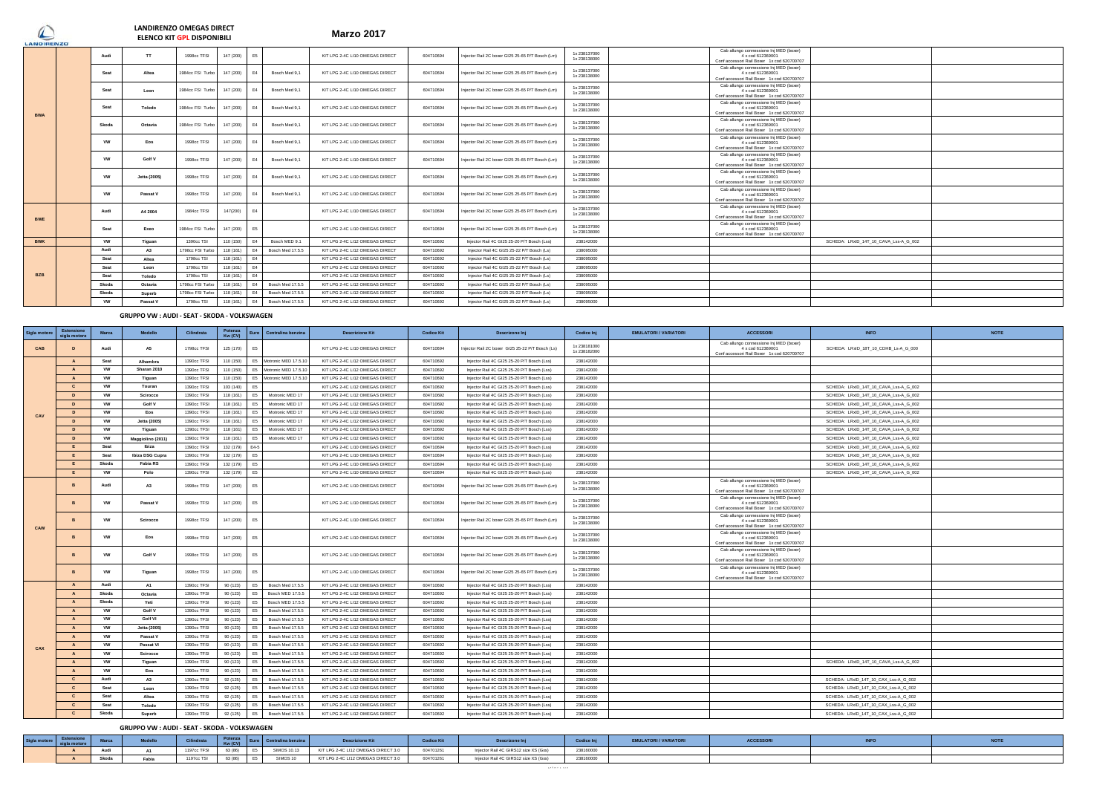# **Marzo 2017 LANDIRENZO OMEGAS DIRECT ELENCO KIT GPL DISPONIBILI**

| $\overline{\phantom{m}}$<br><b>LANDIRENZO</b> |           |              | <b>ELENCO KII GPL DISPONIBILI</b> |           |    |                  |                                 |           |                                                  |                            |                                                                                                            |
|-----------------------------------------------|-----------|--------------|-----------------------------------|-----------|----|------------------|---------------------------------|-----------|--------------------------------------------------|----------------------------|------------------------------------------------------------------------------------------------------------|
|                                               | Audi      | <b>TT</b>    | 1998cc TFSI                       | 147 (200) | E5 |                  | KIT LPG 2-4C LI10 OMEGAS DIRECT | 604710694 | Injector Rail 2C boxer GI25 25-65 P/T Bosch (Lm) | 1x238137000<br>1x238138000 | Cab allungo connessione Inj MED (boxer)<br>4 x cod 612369001<br>Conf accessori Rail Boxer 1x cod 620700707 |
|                                               | Seat      | Altea        | 1984cc FSI Turbo                  | 147 (200) | F4 | Bosch Med 9,1    | KIT LPG 2-4C LI10 OMEGAS DIRECT | 604710694 | Injector Rail 2C boxer GI25 25-65 P/T Bosch (Lm) | 1x238137000<br>1x238138000 | Cab allungo connessione Inj MED (boxer)<br>4 x cod 612369001<br>Conf accessori Rail Boxer 1x cod 620700707 |
|                                               | Seat      | Leon         | 1984cc FSI Turbo                  | 147 (200) |    | Bosch Med 9.1    | KIT LPG 2-4C LI10 OMEGAS DIRECT | 604710694 | Injector Rail 2C boxer GI25 25-65 P/T Bosch (Lm) | 1x238137000<br>1x238138000 | Cab allungo connessione Inj MED (boxer)<br>4 x cod 612369001<br>Conf accessori Rail Boxer 1x cod 620700707 |
| <b>BWA</b>                                    | Seat      | Toledo       | 1984cc FSI Turbo                  | 147 (200) |    | Bosch Med 9,1    | KIT LPG 2-4C LI10 OMEGAS DIRECT | 604710694 | Injector Rail 2C boxer GI25 25-65 P/T Bosch (Lm) | 1x238137000<br>1x238138000 | Cab allungo connessione Inj MED (boxer)<br>4 x cod 612369001<br>Conf accessori Rail Boxer 1x cod 620700707 |
|                                               | Skoda     | Octavia      | 1984cc FSI Turbo                  | 147 (200) |    | Bosch Med 9.1    | KIT LPG 2-4C LI10 OMEGAS DIRECT | 604710694 | Injector Rail 2C boxer GI25 25-65 P/T Bosch (Lm) | 1x238137000<br>1x238138000 | Cab allungo connessione Inj MED (boxer)<br>4 x cod 612369001<br>Conf accessori Rail Boxer 1x cod 620700707 |
|                                               | <b>VW</b> | Eos          | 1998cc TFSI                       | 147 (200) |    | Bosch Med 9,1    | KIT LPG 2-4C LI10 OMEGAS DIRECT | 604710694 | Injector Rail 2C boxer GI25 25-65 P/T Bosch (Lm) | 1x238137000<br>1x238138000 | Cab allungo connessione Inj MED (boxer)<br>4 x cod 612369001<br>Conf accessori Rail Boxer 1x cod 620700707 |
|                                               | <b>VW</b> | Golf V       | 1998cc TFSI                       | 147 (200) |    | Bosch Med 9.1    | KIT LPG 2-4C LI10 OMEGAS DIRECT | 604710694 | Injector Rail 2C boxer GI25 25-65 P/T Bosch (Lm) | 1x238137000<br>1x238138000 | Cab allungo connessione Inj MED (boxer)<br>4 x cod 612369001<br>Conf accessori Rail Boxer 1x cod 620700707 |
|                                               | <b>VW</b> | Jetta (2005) | 1998cc TFSI                       | 147 (200) |    | Bosch Med 9.1    | KIT LPG 2-4C LI10 OMEGAS DIRECT | 604710694 | Injector Rail 2C boxer GI25 25-65 P/T Bosch (Lm) | 1x238137000<br>1x238138000 | Cab allungo connessione Inj MED (boxer)<br>4 x cod 612369001<br>Conf accessori Rail Boxer 1x cod 620700707 |
|                                               | <b>VW</b> | Passat V     | 1998cc TFSI                       | 147 (200) |    | Bosch Med 9.1    | KIT LPG 2-4C LI10 OMEGAS DIRECT | 604710694 | Injector Rail 2C boxer GI25 25-65 P/T Bosch (Lm) | 1x238137000<br>1x238138000 | Cab allungo connessione Inj MED (boxer)<br>4 x cod 612369001<br>Conf accessori Rail Boxer 1x cod 620700707 |
| <b>BWE</b>                                    | Audi      | A4 2004      | 1984cc TFSI                       | 147(200)  |    |                  | KIT LPG 2-4C LI10 OMEGAS DIRECT | 604710694 | Injector Rail 2C boxer GI25 25-65 P/T Bosch (Lm) | 1x238137000<br>1x238138000 | Cab allungo connessione Inj MED (boxer)<br>4 x cod 612369001<br>Conf accessori Rail Boxer 1x cod 620700707 |
|                                               | Seat      | Exeo         | 1984cc FSI Turbo                  | 147 (200) | E5 |                  | KIT LPG 2-4C LI10 OMEGAS DIRECT | 604710694 | Injector Rail 2C boxer GI25 25-65 P/T Bosch (Lm) | 1x238137000<br>1x238138000 | Cab allungo connessione Inj MED (boxer)<br>4 x cod 612369001<br>Conf accessori Rail Boxer 1x cod 620700707 |
| <b>BWK</b>                                    | <b>VW</b> | Tiguan       | 1390cc TSI                        | 110 (150) |    | Bosch MED 9.1    | KIT LPG 2-4C LI12 OMEGAS DIRECT | 604710692 | Injector Rail 4C GI25 25-20 P/T Bosch (Lss)      | 238142000                  | SCHEDA: LRxID 14T 10 CAVA Lss-A G 002                                                                      |
|                                               | Audi      | A3           | 1798cc FSI Turbo                  | 118 (161) | F4 | Bosch Med 17.5.5 | KIT LPG 2-4C LI12 OMEGAS DIRECT | 604710692 | Injector Rail 4C GI25 25-22 P/T Bosch (Ls)       | 238095000                  |                                                                                                            |
|                                               | Seat      | Altea        | 1798cc TSI                        | 118 (161) |    |                  | KIT LPG 2-4C LI12 OMEGAS DIRECT | 604710692 | Injector Rail 4C GI25 25-22 P/T Bosch (Ls)       | 238095000                  |                                                                                                            |
|                                               | Seat      | Leon         | 1798cc TSI                        | 118 (161) |    |                  | KIT LPG 2-4C LI12 OMEGAS DIRECT | 604710692 | Injector Rail 4C GI25 25-22 P/T Bosch (Ls)       | 238095000                  |                                                                                                            |
| <b>BZB</b>                                    | Seat      | Toledo       | 1798cc TSI                        | 118 (161) |    |                  | KIT LPG 2-4C LI12 OMEGAS DIRECT | 604710692 | Injector Rail 4C GI25 25-22 P/T Bosch (Ls)       | 238095000                  |                                                                                                            |
|                                               | Skoda     | Octavia      | 1798cc FSI Turbo                  | 118 (161) |    | Bosch Med 17.5.5 | KIT LPG 2-4C LI12 OMEGAS DIRECT | 604710692 | Injector Rail 4C GI25 25-22 P/T Bosch (Ls)       | 238095000                  |                                                                                                            |
|                                               | Skoda     | Superb       | 1798cc FSI Turbo                  | 118 (161) | F4 | Bosch Med 17.5.5 | KIT LPG 2-4C LI12 OMEGAS DIRECT | 604710692 | Injector Rail 4C GI25 25-22 P/T Bosch (Ls)       | 238095000                  |                                                                                                            |
|                                               | <b>VW</b> | Passat V     | 1798cc TSI                        | 118 (161) | F4 | Bosch Med 17.5.5 | KIT LPG 2-4C LI12 OMEGAS DIRECT | 604710692 | Injector Rail 4C GI25 25-22 P/T Bosch (Ls)       | 238095000                  |                                                                                                            |

## **GRUPPO VW : AUDI - SEAT - SKODA - VOLKSWAGEN**

| Sigla motor | Estensione<br>sigla motore | Marca     | Modello           | Cilindrata  | Potenza<br>Kw (CV) | Centralina benzina                     | <b>Descrizione Kit</b>          | <b>Codice Kit</b> | Descrizone Inj                                   | Codice Inj                   | <b>EMULATORI / VARIATORI</b> | <b>ACCESSORI</b>                                                                                           | <b>INFO</b>                           | <b>NOTE</b> |
|-------------|----------------------------|-----------|-------------------|-------------|--------------------|----------------------------------------|---------------------------------|-------------------|--------------------------------------------------|------------------------------|------------------------------|------------------------------------------------------------------------------------------------------------|---------------------------------------|-------------|
| CAB         | D                          | Audi      | A <sub>5</sub>    | 1798cc TFSI | 125 (170)          |                                        | KIT LPG 2-4C LI10 OMEGAS DIRECT | 604710694         | Injector Rail 2C boxer GI25 25-22 P/T Bosch (Ls) | 1x238181000<br>1x 238182000  |                              | Cab allungo connessione Inj MED (boxer)<br>4 x cod 612369001<br>Conf accessori Rail Boxer 1x cod 620700707 | SCHEDA: LRxID_18T_10_CDHB_Ls-A_G_000  |             |
|             | $\mathbf{A}$               | Seat      | Alhambra          | 1390cc TFSI | 110 (150)          | E5 Motronic MED 17.5.10                | KIT LPG 2-4C LI12 OMEGAS DIRECT | 604710692         | Injector Rail 4C GI25 25-20 P/T Bosch (Lss)      | 238142000                    |                              |                                                                                                            |                                       |             |
|             | $\Lambda$                  | <b>VW</b> | Sharan 2010       | 1390cc TFSI | 110 (150)          | Motronic MED 17.5.10<br>F5             | KIT LPG 2-4C LI12 OMEGAS DIRECT | 604710692         | Injector Rail 4C GI25 25-20 P/T Bosch (Lss)      | 238142000                    |                              |                                                                                                            |                                       |             |
|             | $\Lambda$                  | VW        | Tiguan            | 1390cc TFSI | 110 (150)          | Motronic MED 17.5.10<br>F <sub>5</sub> | KIT LPG 2-4C LI12 OMEGAS DIRECT | 604710692         | Injector Rail 4C GI25 25-20 P/T Bosch (Lss)      | 238142000                    |                              |                                                                                                            |                                       |             |
|             | $\mathbf{c}$               | <b>VW</b> | Touran            | 1390cc TFSI | 103 (140)          | E5                                     | KIT LPG 2-4C LI12 OMEGAS DIRECT | 604710692         | Injector Rail 4C GI25 25-20 P/T Bosch (Lss)      | 238142000                    |                              |                                                                                                            | SCHEDA: LRxID_14T_10_CAVA_Lss-A_G_002 |             |
|             | $\overline{D}$             | VW        | Scirocco          | 1390cc TFSI | 118 (161)          | Motronic MED 17<br>F5                  | KIT LPG 2-4C LI12 OMEGAS DIRECT | 604710692         | Injector Rail 4C GI25 25-20 P/T Bosch (Lss)      | 238142000                    |                              |                                                                                                            | SCHEDA: LRxID_14T_10_CAVA_Lss-A_G_002 |             |
|             | $\overline{D}$             | <b>VW</b> | Golf V            | 1390cc TFSI | 118 (161)          | Motronic MED 17                        | KIT LPG 2-4C LI12 OMEGAS DIRECT | 604710692         | Injector Rail 4C GI25 25-20 P/T Bosch (Lss)      | 238142000                    |                              |                                                                                                            | SCHEDA: LRxID_14T_10_CAVA_Lss-A_G_002 |             |
| CAV         | $\overline{D}$             | <b>VW</b> | Eos               | 1390cc TFSI | 118 (161)          | Motronic MED 17<br>E5                  | KIT LPG 2-4C LI12 OMEGAS DIRECT | 604710692         | Injector Rail 4C GI25 25-20 P/T Bosch (Lss)      | 238142000                    |                              |                                                                                                            | SCHEDA: LRxID_14T_10_CAVA_Lss-A_G_002 |             |
|             | D                          | <b>VW</b> | Jetta (2005)      | 1390cc TFSI | 118 (161)          | Motronic MED 17<br>E5                  | KIT LPG 2-4C LI12 OMEGAS DIRECT | 604710692         | Injector Rail 4C GI25 25-20 P/T Bosch (Lss)      | 238142000                    |                              |                                                                                                            | SCHEDA: LRxID_14T_10_CAVA_Lss-A_G_002 |             |
|             | $\overline{D}$             | <b>VW</b> | Tiguan            | 1390cc TFSI | 118 (161)          | Motronic MED 17<br>E6                  | KIT LPG 2-4C LI12 OMEGAS DIRECT | 604710692         | Injector Rail 4C GI25 25-20 P/T Bosch (Lss)      | 238142000                    |                              |                                                                                                            | SCHEDA: LRxID_14T_10_CAVA_Lss-A_G_002 |             |
|             | D                          | <b>VW</b> | Maggiolino (2011) | 1390cc TFSI | 118 (161)          | Motronic MED 17<br>E5                  | KIT LPG 2-4C LI12 OMEGAS DIRECT | 604710692         | Injector Rail 4C GI25 25-20 P/T Bosch (Lss)      | 238142000                    |                              |                                                                                                            | SCHEDA: LRxID_14T_10_CAVA_Lss-A_G_002 |             |
|             |                            | Seat      | Ibiza             | 1390cc TFSI | 132 (179)          | E4-5                                   | KIT LPG 2-4C LI10 OMEGAS DIRECT | 604710694         | Injector Rail 4C GI25 25-20 P/T Bosch (Lss)      | 238142000                    |                              |                                                                                                            | SCHEDA: LRxID_14T_10_CAVA_Lss-A_G_002 |             |
|             |                            | Seat      | Ibiza DSG Cupra   | 1390cc TFSI | 132 (179)          | E5                                     | KIT LPG 2-4C LI10 OMEGAS DIRECT | 604710694         | Injector Rail 4C GI25 25-20 P/T Bosch (Lss)      | 238142000                    |                              |                                                                                                            | SCHEDA: LRxID_14T_10_CAVA_Lss-A_G_002 |             |
|             | E                          | Skoda     | Fabia RS          | 1390cc TFSI | 132 (179)          |                                        | KIT LPG 2-4C LI10 OMEGAS DIRECT | 604710694         | Injector Rail 4C GI25 25-20 P/T Bosch (Lss)      | 238142000                    |                              |                                                                                                            | SCHEDA: LRxID_14T_10_CAVA_Lss-A_G_002 |             |
|             | E                          | vw        | Polo              | 1390cc TFSI | 132 (179)          | E5                                     | KIT LPG 2-4C LI10 OMEGAS DIRECT | 604710694         | Injector Rail 4C GI25 25-20 P/T Bosch (Lss)      | 238142000                    |                              |                                                                                                            | SCHEDA: LRxID_14T_10_CAVA_Lss-A_G_002 |             |
|             |                            | Audi      | A3                | 1998cc TFSI | 147 (200)          | E5                                     | KIT LPG 2-4C LI10 OMEGAS DIRECT | 604710694         | Injector Rail 2C boxer GI25 25-65 P/T Bosch (Lm) | 1x238137000<br>1x 238138000  |                              | Cab allungo connessione Inj MED (boxer)<br>4 x cod 612369001<br>Conf accessori Rail Boxer 1x cod 620700707 |                                       |             |
|             |                            | <b>VW</b> | Passat V          | 1998cc TFSI | 147 (200)          | E <sub>5</sub>                         | KIT LPG 2-4C LI10 OMEGAS DIRECT | 604710694         | Injector Rail 2C boxer GI25 25-65 P/T Bosch (Lm) | 1x238137000<br>1x 238138000  |                              | Cab allungo connessione Inj MED (boxer)<br>4 x cod 612369001<br>Conf accessori Rail Boxer 1x cod 620700707 |                                       |             |
| CAW         |                            | <b>VW</b> | Scirocco          | 1998cc TFSI | 147 (200)          | ES                                     | KIT LPG 2-4C LI10 OMEGAS DIRECT | 604710694         | Injector Rail 2C boxer GI25 25-65 P/T Bosch (Lm) | 1x 238137000<br>1x 238138000 |                              | Cab allungo connessione Inj MED (boxer)<br>4 x cod 612369001<br>Conf accessori Rail Boxer 1x cod 620700707 |                                       |             |
|             |                            | VW        | Eos               | 1998cc TFSI | 147 (200)          | F <sub>5</sub>                         | KIT LPG 2-4C LI10 OMEGAS DIRECT | 604710694         | Injector Rail 2C boxer GI25 25-65 P/T Bosch (Lm) | 1x238137000<br>1x 238138000  |                              | Cab allungo connessione Inj MED (boxer)<br>4 x cod 612369001<br>Conf accessori Rail Boxer 1x cod 620700707 |                                       |             |
|             |                            | <b>VW</b> | Golf V            | 1998cc TFSI | 147 (200)          | ES                                     | KIT LPG 2-4C LI10 OMEGAS DIRECT | 604710694         | Injector Rail 2C boxer GI25 25-65 P/T Bosch (Lm) | 1x 238137000<br>1x 238138000 |                              | Cab allungo connessione Inj MED (boxer)<br>4 x cod 612369001<br>Conf accessori Rail Boxer 1x cod 620700707 |                                       |             |
|             |                            | <b>VW</b> | Tiguan            | 1998cc TFSI | 147 (200)          | ES                                     | KIT LPG 2-4C LI10 OMEGAS DIRECT | 604710694         | Injector Rail 2C boxer GI25 25-65 P/T Bosch (Lm) | 1x 238137000<br>1x 238138000 |                              | Cab allungo connessione Inj MED (boxer)<br>4 x cod 612369001<br>Conf accessori Rail Boxer 1x cod 620700707 |                                       |             |
|             | $\mathbf{A}$               | Audi      | A1                | 1390cc TFSI | 90 (123)           | Bosch Med 17.5.5<br>E5                 | KIT LPG 2-4C LI12 OMEGAS DIRECT | 604710692         | Injector Rail 4C GI25 25-20 P/T Bosch (Lss)      | 238142000                    |                              |                                                                                                            |                                       |             |
|             | $\mathbf{A}$               | Skoda     | Octavia           | 1390cc TFSI | 90 (123)           | Bosch MED 17.5.5                       | KIT LPG 2-4C LI12 OMEGAS DIRECT | 604710692         | Injector Rail 4C GI25 25-20 P/T Bosch (Lss)      | 238142000                    |                              |                                                                                                            |                                       |             |
|             | $\Lambda$                  | Skoda     | Yeti              | 1390cc TFSI | 90 (123)           | Bosch MED 17.5.5                       | KIT LPG 2-4C LI12 OMEGAS DIRECT | 604710692         | Injector Rail 4C GI25 25-20 P/T Bosch (Lss)      | 238142000                    |                              |                                                                                                            |                                       |             |
|             | $\mathbf{A}$               | <b>VW</b> | Golf V            | 1390cc TFSI | 90 (123)           | Bosch Med 17.5.5<br>F <sub>5</sub>     | KIT LPG 2-4C LI12 OMEGAS DIRECT | 604710692         | Injector Rail 4C GI25 25-20 P/T Bosch (Lss)      | 238142000                    |                              |                                                                                                            |                                       |             |
|             | $\Lambda$                  | <b>VW</b> | Golf VI           | 1390cc TFSI | 90 (123)           | Bosch Med 17.5.5<br>F <sub>5</sub>     | KIT LPG 2-4C LI12 OMEGAS DIRECT | 604710692         | Injector Rail 4C GI25 25-20 P/T Bosch (Lss)      | 238142000                    |                              |                                                                                                            |                                       |             |
|             | $\overline{A}$             | vw        | Jetta (2005)      | 1390cc TFSI | 90 (123)           | Bosch Med 17.5.5<br>F5                 | KIT LPG 2-4C LI12 OMEGAS DIRECT | 604710692         | Injector Rail 4C GI25 25-20 P/T Bosch (Lss)      | 238142000                    |                              |                                                                                                            |                                       |             |
|             | $\Lambda$                  | <b>VW</b> | Passat V          | 1390cc TFSI | 90 (123)           | Bosch Med 17.5.5<br>F5                 | KIT LPG 2-4C LI12 OMEGAS DIRECT | 604710692         | Injector Rail 4C GI25 25-20 P/T Bosch (Lss)      | 238142000                    |                              |                                                                                                            |                                       |             |
| CAX         |                            | vw        | Passat VI         | 1390cc TFSI | 90 (123)           | Bosch Med 17.5.5<br>E5                 | KIT LPG 2-4C LI12 OMEGAS DIRECT | 604710692         | Injector Rail 4C GI25 25-20 P/T Bosch (Lss)      | 238142000                    |                              |                                                                                                            |                                       |             |
|             | $\mathbf{A}$               | <b>VW</b> | Scirocco          | 1390cc TFSI | 90 (123)           | Bosch Med 17.5.5<br>F <sub>5</sub>     | KIT LPG 2-4C LI12 OMEGAS DIRECT | 604710692         | Injector Rail 4C GI25 25-20 P/T Bosch (Lss)      | 238142000                    |                              |                                                                                                            |                                       |             |
|             | $\Lambda$                  | <b>VW</b> | Tiguan            | 1390cc TFSI | 90 (123)           | Bosch Med 17.5.5                       | KIT LPG 2-4C LI12 OMEGAS DIRECT | 604710692         | Injector Rail 4C GI25 25-20 P/T Bosch (Lss)      | 238142000                    |                              |                                                                                                            | SCHEDA: LRxID_14T_10_CAVA_Lss-A_G_002 |             |
|             | $\mathbf{A}$               | <b>VW</b> | Eos               | 1390cc TFSI | 90 (123)           | Bosch Med 17.5.5<br>E                  | KIT LPG 2-4C LI12 OMEGAS DIRECT | 604710692         | Injector Rail 4C GI25 25-20 P/T Bosch (Lss)      | 238142000                    |                              |                                                                                                            |                                       |             |
|             | $\mathbf{c}$               | Audi      | A3                | 1390cc TFSI | 92 (125)           | Bosch Med 17.5.5<br>F <sub>5</sub>     | KIT LPG 2-4C LI12 OMEGAS DIRECT | 604710692         | Injector Rail 4C GI25 25-20 P/T Bosch (Lss)      | 238142000                    |                              |                                                                                                            | SCHEDA: LRxID_14T_10_CAX_Lss-A_G_002  |             |
|             | $\mathbf{c}$               | Seat      | Leon              | 1390cc TFSI | 92 (125)           | Bosch Med 17.5.5<br>F <sub>5</sub>     | KIT LPG 2-4C LI12 OMEGAS DIRECT | 604710692         | Injector Rail 4C GI25 25-20 P/T Bosch (Lss)      | 238142000                    |                              |                                                                                                            | SCHEDA: LRxID_14T_10_CAX_Lss-A_G_002  |             |
|             | $\mathbf{c}$               | Seat      | Altea             | 1390cc TFSI | 92 (125)           | Bosch Med 17.5.5                       | KIT LPG 2-4C LI12 OMEGAS DIRECT | 604710692         | Injector Rail 4C GI25 25-20 P/T Bosch (Lss)      | 238142000                    |                              |                                                                                                            | SCHEDA: LRxID_14T_10_CAX_Lss-A_G_002  |             |
|             | C                          | Seat      | Toledo            | 1390cc TFSI | 92 (125)           | Bosch Med 17.5.5                       | KIT LPG 2-4C LI12 OMEGAS DIRECT | 604710692         | Injector Rail 4C GI25 25-20 P/T Bosch (Lss)      | 238142000                    |                              |                                                                                                            | SCHEDA: LRxID_14T_10_CAX_Lss-A_G_002  |             |
|             | C                          | Skoda     | Superb            | 1390cc TFSI | 92 (125)           | E5<br>Bosch Med 17.5.5                 | KIT LPG 2-4C LI12 OMEGAS DIRECT | 604710692         | Injector Rail 4C GI25 25-20 P/T Bosch (Lss)      | 238142000                    |                              |                                                                                                            | SCHEDA: LRxID_14T_10_CAX_Lss-A_G_002  |             |

## **GRUPPO VW : AUDI - SEAT - SKODA - VOLKSWAGEN**

| Sigla motore sigla mo |       |       | <b>CONTRACTOR</b><br>Cilindrata | Kw (CV)    |                        |                                     | <b>Codice Kit</b> |                                       | Codice Inj | <b>JLATORI / VARIATORI</b> | <b>ACCESSO</b> |  |
|-----------------------|-------|-------|---------------------------------|------------|------------------------|-------------------------------------|-------------------|---------------------------------------|------------|----------------------------|----------------|--|
|                       |       |       | 1197cc TFSI                     |            | 63 (86) E5 SIMOS 10.13 | KIT LPG 2-4C LI12 OMEGAS DIRECT 3.0 | 604701261         | Injector Rail 4C GIRS12 size XS (Gxs) | 238160000  |                            |                |  |
|                       | Skoda | Fabia | 1197cc TSI                      | 63 (86) E5 | SIMOS 10               | KIT LPG 2-4C LI12 OMEGAS DIRECT 3.0 | 604701261         | Injector Rail 4C GIRS12 size XS (Gxs) | 238160000  |                            |                |  |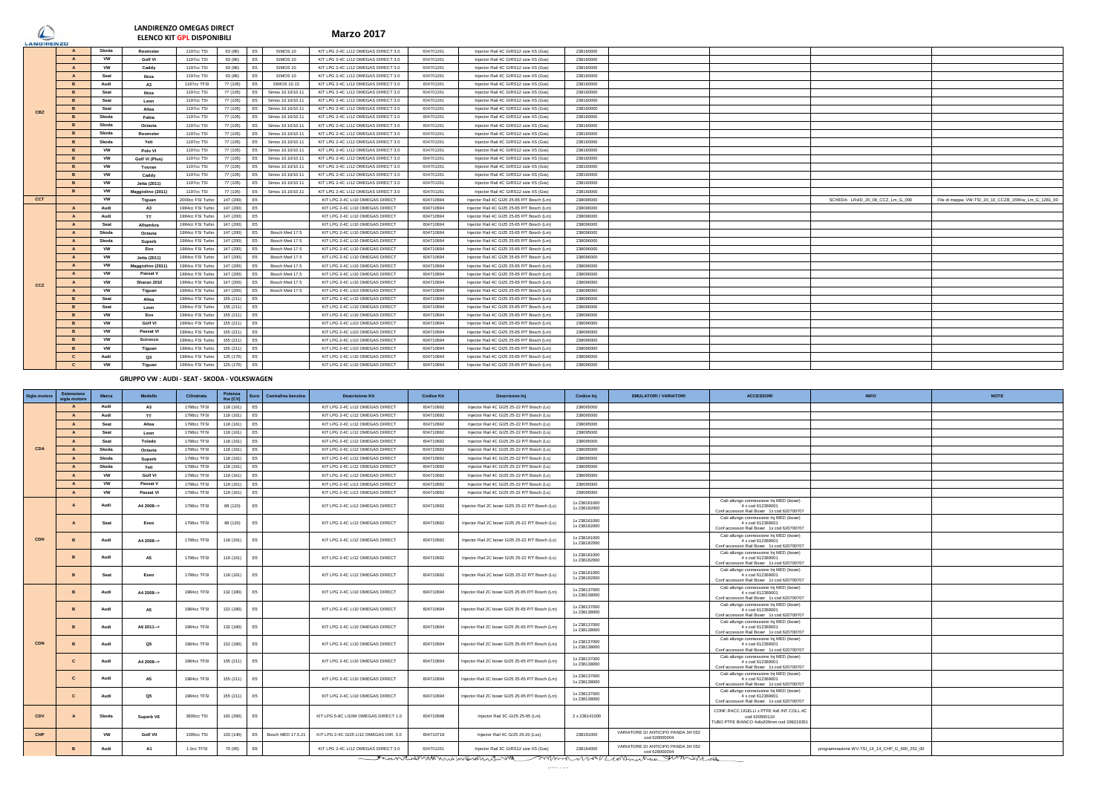# $\bigcirc$

**Marzo 2017 LANDIRENZO OMEGAS DIRECT ELENCO KIT GPL DISPONIBILI**

| LANDIRENZO |                |           |                   |                  |           |                |                    |                                     |           |                                            |           |                                  |                                                     |
|------------|----------------|-----------|-------------------|------------------|-----------|----------------|--------------------|-------------------------------------|-----------|--------------------------------------------|-----------|----------------------------------|-----------------------------------------------------|
|            |                | Skoda     | Roomster          | 1197cc TSI       | 63 (86)   | E5             | SIMOS 10           | KIT LPG 2-4C LI12 OMEGAS DIRECT 3.0 | 604701261 | Injector Rail 4C GIRS12 size XS (Gxs)      | 238160000 |                                  |                                                     |
|            |                | <b>VW</b> | Golf VI           | 1197cc TSI       | 63 (86)   | E5             | SIMOS 10           | KIT LPG 2-4C LI12 OMEGAS DIRECT 3.0 | 604701261 | Injector Rail 4C GIRS12 size XS (Gxs)      | 238160000 |                                  |                                                     |
|            |                | <b>VW</b> | Caddy             | 1197cc TSI       | 63 (86)   | E5             | SIMOS 10           | KIT LPG 2-4C LI12 OMEGAS DIRECT 3.0 | 604701261 | Injector Rail 4C GIRS12 size XS (Gxs)      | 238160000 |                                  |                                                     |
|            | $\mathbf{A}$   | Seat      | Ibiza             | 1197cc TSI       | 63 (86)   | E <sub>5</sub> | SIMOS 10           | KIT LPG 2-4C LI12 OMEGAS DIRECT 3.0 | 604701261 | Injector Rail 4C GIRS12 size XS (Gxs)      | 238160000 |                                  |                                                     |
|            | <b>R</b>       | Audi      | A3                | 1197cc TFSI      | 77 (105)  | E <sub>5</sub> | <b>SIMOS 10.13</b> | KIT LPG 2-4C LI12 OMEGAS DIRECT 3.0 | 604701261 | Injector Rail 4C GIRS12 size XS (Gxs)      | 238160000 |                                  |                                                     |
|            | <b>R</b>       | Seat      | Ibiza             | 1197cc TSI       | 77 (105)  | E <sub>5</sub> | Simos 10.10/10.11  | KIT LPG 2-4C LI12 OMEGAS DIRECT 3.0 | 604701261 | Injector Rail 4C GIRS12 size XS (Gxs)      | 238160000 |                                  |                                                     |
|            |                | Seat      | Leon              | 1197cc TSI       | 77 (105)  | E5             | Simos 10.10/10.1   | KIT LPG 2-4C LI12 OMEGAS DIRECT 3.0 | 604701261 | Injector Rail 4C GIRS12 size XS (Gxs)      | 238160000 |                                  |                                                     |
| CBZ        |                | Seat      | Altea             | 1197cc TSI       | 77 (105)  | E5             | Simos 10.10/10.1   | KIT LPG 2-4C LI12 OMEGAS DIRECT 3.0 | 604701261 | Injector Rail 4C GIRS12 size XS (Gxs)      | 238160000 |                                  |                                                     |
|            |                | Skoda     | Fabia             | 1197cc TSI       | 77 (105)  | E5             | Simos 10.10/10.1   | KIT LPG 2-4C LI12 OMEGAS DIRECT 3.0 | 604701261 | Injector Rail 4C GIRS12 size XS (Gxs)      | 238160000 |                                  |                                                     |
|            |                | Skoda     | Octavia           | 1197cc TSI       | 77 (105)  | E5             | Simos 10.10/10.11  | KIT LPG 2-4C LI12 OMEGAS DIRECT 3.0 | 604701261 | Injector Rail 4C GIRS12 size XS (Gxs)      | 238160000 |                                  |                                                     |
|            |                | Skoda     | Roomster          | 1197cc TSI       | 77 (105)  | E5             | Simos 10.10/10.11  | KIT LPG 2-4C LI12 OMEGAS DIRECT 3.0 | 604701261 | Injector Rail 4C GIRS12 size XS (Gxs)      | 238160000 |                                  |                                                     |
|            |                | Skoda     | Yeti              | 1197cc TSI       | 77 (105)  | E5             | Simos 10.10/10.1   | KIT LPG 2-4C LI12 OMEGAS DIRECT 3.0 | 604701261 | Injector Rail 4C GIRS12 size XS (Gxs)      | 238160000 |                                  |                                                     |
|            | <b>R</b>       | <b>VW</b> | Polo VI           | 1197cc TSI       | 77 (105)  | E5             | Simos 10.10/10.1   | KIT LPG 2-4C LI12 OMEGAS DIRECT 3.0 | 604701261 | Injector Rail 4C GIRS12 size XS (Gxs)      | 238160000 |                                  |                                                     |
|            | <b>R</b>       | <b>VW</b> | Golf VI (Plus)    | 1197cc TSI       | 77 (105)  | E5             | Simos 10.10/10.1   | KIT LPG 2-4C LI12 OMEGAS DIRECT 3.0 | 604701261 | Injector Rail 4C GIRS12 size XS (Gxs)      | 238160000 |                                  |                                                     |
|            |                | <b>VW</b> | Touran            | 1197cc TSI       | 77 (105)  | E5             | Simos 10.10/10.11  | KIT LPG 2-4C LI12 OMEGAS DIRECT 3.0 | 604701261 | Injector Rail 4C GIRS12 size XS (Gxs)      | 238160000 |                                  |                                                     |
|            |                | <b>VW</b> | Caddy             | 1197cc TSI       | 77 (105)  | E5             | Simos 10.10/10.11  | KIT LPG 2-4C LI12 OMEGAS DIRECT 3.0 | 604701261 | Injector Rail 4C GIRS12 size XS (Gxs)      | 238160000 |                                  |                                                     |
|            | <b>R</b>       | <b>VW</b> | Jetta (2011)      | 1197cc TSI       | 77 (105)  | E5             | Simos 10,10/10.11  | KIT LPG 2-4C LI12 OMEGAS DIRECT 3.0 | 604701261 | Injector Rail 4C GIRS12 size XS (Gxs)      | 238160000 |                                  |                                                     |
|            |                | vw        | Maggiolino (2011) | 1197cc TSI       | 77 (105)  | E5             | Simos 10.10/10.11  | KIT LPG 2-4C LI12 OMEGAS DIRECT 3.0 | 604701261 | Injector Rail 4C GIRS12 size XS (Gxs)      | 238160000 |                                  |                                                     |
| <b>CCT</b> |                | <b>VW</b> | Tiguan            | 2000cc FSI Turbo | 147 (200) | E <sub>5</sub> |                    | KIT LPG 2-4C LI10 OMEGAS DIRECT     | 604710694 | Injector Rail 4C GI25 25-65 P/T Bosch (Lm) | 238096000 | SCHEDA: LRxID_20_08_CCZ_Lm_G_000 | File di mappa: VW-TSI_20_10_CCZB_155Kw_Lm_G_1281_00 |
|            |                | Audi      | A3                | 1984cc FSI Turbo | 147 (200) | E <sub>5</sub> |                    | KIT LPG 2-4C LI10 OMEGAS DIRECT     | 604710694 | Injector Rail 4C GI25 25-65 P/T Bosch (Lm) | 238096000 |                                  |                                                     |
|            |                | Audi      | <b>TT</b>         | 1984cc FSI Turbo | 147 (200) | E5             |                    | KIT LPG 2-4C LI10 OMEGAS DIRECT     | 604710694 | Injector Rail 4C GI25 25-65 P/T Bosch (Lm) | 238096000 |                                  |                                                     |
|            | $\mathbf{A}$   | Seat      | Alhambra          | 1984cc FSI Turbo | 147 (200) | E <sub>5</sub> |                    | KIT LPG 2-4C LI10 OMEGAS DIRECT     | 604710694 | Injector Rail 4C GI25 25-65 P/T Bosch (Lm) | 238096000 |                                  |                                                     |
|            | $\mathbf{A}$   | Skoda     | Octavia           | 1984cc FSI Turbo | 147 (200) | E <sub>5</sub> | Bosch Med 17.5     | KIT LPG 2-4C LI10 OMEGAS DIRECT     | 604710694 | Injector Rail 4C GI25 25-65 P/T Bosch (Lm) | 238096000 |                                  |                                                     |
|            | $\mathbf{A}$   | Skoda     | Superb            | 1984cc FSI Turbo | 147 (200) | E5             | Bosch Med 17.5     | KIT LPG 2-4C LI10 OMEGAS DIRECT     | 604710694 | Injector Rail 4C GI25 25-65 P/T Bosch (Lm) | 238096000 |                                  |                                                     |
|            | $\mathbf{A}$   | <b>VW</b> | Eos               | 1984cc FSI Turbo | 147 (200) | F <sub>5</sub> | Bosch Med 17.5     | KIT LPG 2-4C LI10 OMEGAS DIRECT     | 604710694 | Injector Rail 4C GI25 25-65 P/T Bosch (Lm) | 238096000 |                                  |                                                     |
|            | $\overline{A}$ | <b>VW</b> | Jetta (2011)      | 1984cc FSI Turbo | 147 (200) | E5             | Bosch Med 17.5     | KIT LPG 2-4C LI10 OMEGAS DIRECT     | 604710694 | Injector Rail 4C GI25 25-65 P/T Bosch (Lm) | 238096000 |                                  |                                                     |
|            | $\mathbf{A}$   | VW        | Maggiolino (2011) | 1984cc FSI Turbo | 147 (200) | E5             | Bosch Med 17.5     | KIT LPG 2-4C LI10 OMEGAS DIRECT     | 604710694 | Injector Rail 4C GI25 25-65 P/T Bosch (Lm) | 238096000 |                                  |                                                     |
|            | $\mathbf{A}$   | <b>VW</b> | Passat V          | 1984cc FSI Turbo | 147 (200) | E5             | Bosch Med 17.5     | KIT LPG 2-4C LI10 OMEGAS DIRECT     | 604710694 | Injector Rail 4C GI25 25-65 P/T Bosch (Lm) | 238096000 |                                  |                                                     |
| CCZ        |                | <b>VW</b> | Sharan 2010       | 1984cc FSI Turbo | 147 (200) | E5             | Bosch Med 17.5     | KIT LPG 2-4C LI10 OMEGAS DIRECT     | 604710694 | Injector Rail 4C GI25 25-65 P/T Bosch (Lm) | 238096000 |                                  |                                                     |
|            |                | <b>VW</b> | Tiguan            | 1984cc FSI Turbo | 147 (200) | E5             | Bosch Med 17.5     | KIT LPG 2-4C LI10 OMEGAS DIRECT     | 604710694 | Injector Rail 4C GI25 25-65 P/T Bosch (Lm) | 238096000 |                                  |                                                     |
|            |                | Seat      | Altea             | 1984cc FSI Turbo | 155 (211) | E5             |                    | KIT LPG 2-4C LI10 OMEGAS DIRECT     | 604710694 | Injector Rail 4C GI25 25-65 P/T Bosch (Lm) | 238096000 |                                  |                                                     |
|            |                | Seat      | Leon              | 1984cc FSI Turbo | 155 (211) | E5             |                    | KIT LPG 2-4C LI10 OMEGAS DIRECT     | 604710694 | Injector Rail 4C GI25 25-65 P/T Bosch (Lm) | 238096000 |                                  |                                                     |
|            |                | <b>VW</b> | Eos               | 1984cc FSI Turbo | 155 (211) | E5             |                    | KIT LPG 2-4C LI10 OMEGAS DIRECT     | 604710694 | Injector Rail 4C GI25 25-65 P/T Bosch (Lm) | 238096000 |                                  |                                                     |
|            | <b>R</b>       | <b>VW</b> | Golf VI           | 1984cc FSI Turbo | 155 (211) | E <sub>5</sub> |                    | KIT LPG 2-4C LI10 OMEGAS DIRECT     | 604710694 | Injector Rail 4C GI25 25-65 P/T Bosch (Lm) | 238096000 |                                  |                                                     |
|            | <b>R</b>       | <b>VW</b> | Passat VI         | 1984cc FSI Turbo | 155 (211) | E5             |                    | KIT LPG 2-4C LI10 OMEGAS DIRECT     | 604710694 | Injector Rail 4C GI25 25-65 P/T Bosch (Lm) | 238096000 |                                  |                                                     |
|            |                | <b>VW</b> | Scirocco          | 1984cc FSI Turbo | 155 (211) | E5             |                    | KIT LPG 2-4C LI10 OMEGAS DIRECT     | 604710694 | Injector Rail 4C GI25 25-65 P/T Bosch (Lm) | 238096000 |                                  |                                                     |
|            |                | <b>VW</b> | Tiguan            | 1984cc FSI Turbo | 155 (211) | E <sub>5</sub> |                    | KIT LPG 2-4C LI10 OMEGAS DIRECT     | 604710694 | Injector Rail 4C GI25 25-65 P/T Bosch (Lm) | 238096000 |                                  |                                                     |
|            |                | Audi      | O <sub>3</sub>    | 1984cc FSI Turbo | 125 (170) | E <sub>5</sub> |                    | KIT LPG 2-4C LI10 OMEGAS DIRECT     | 604710694 | Injector Rail 4C GI25 25-65 P/T Bosch (Lm) | 238096000 |                                  |                                                     |
|            |                | <b>VW</b> | Tiguan            | 1984cc FSI Turbo | 125 (170) | E <sub>5</sub> |                    | KIT LPG 2-4C LI10 OMEGAS DIRECT     | 604710694 | Injector Rail 4C GI25 25-65 P/T Bosch (Lm) | 238096000 |                                  |                                                     |

# **GRUPPO VW : AUDI - SEAT - SKODA - VOLKSWAGEN**

| Sigla motor | <b>Estensione</b><br>sigla motore | <b>Marca</b> | Modello   | Cilindrata  | Potenza<br>Kw (CV) | Euro           | Centralina benzina<br><b>Descrizione Kit</b>                | <b>Codice Kit</b> | Descrizone Inj                                    | Codice Inj                   | <b>EMULATORI / VARIATORI</b>                        | <b>ACCESSORI</b>                                                                                           | <b>INFO</b>                                  | <b>NOTE</b> |
|-------------|-----------------------------------|--------------|-----------|-------------|--------------------|----------------|-------------------------------------------------------------|-------------------|---------------------------------------------------|------------------------------|-----------------------------------------------------|------------------------------------------------------------------------------------------------------------|----------------------------------------------|-------------|
|             | A                                 | Audi         | A3        | 1798cc TFSI | 118 (161)          | E5             | KIT LPG 2-4C LI12 OMEGAS DIRECT                             | 604710692         | Injector Rail 4C GI25 25-22 P/T Bosch (Ls)        | 238095000                    |                                                     |                                                                                                            |                                              |             |
|             | $\Lambda$                         | Audi         | TT.       | 1798cc TFSI | 118 (161)          | E <sub>5</sub> | KIT LPG 2-4C LI12 OMEGAS DIRECT                             | 604710692         | Injector Rail 4C GI25 25-22 P/T Bosch (Ls)        | 238095000                    |                                                     |                                                                                                            |                                              |             |
|             | $\mathbf{A}$                      | Seat         | Altea     | 1798cc TFSI | 118 (161)          | E5             | KIT LPG 2-4C LI12 OMEGAS DIRECT                             | 604710692         | Injector Rail 4C GI25 25-22 P/T Bosch (Ls)        | 238095000                    |                                                     |                                                                                                            |                                              |             |
|             | $\mathbf{A}$                      | Seat         | Leon      | 1798cc TFSI | 118 (161)          | E <sub>5</sub> | KIT LPG 2-4C LI12 OMEGAS DIRECT                             | 604710692         | Injector Rail 4C GI25 25-22 P/T Bosch (Ls)        | 238095000                    |                                                     |                                                                                                            |                                              |             |
|             | $\mathbf{A}$                      | Seat         | Toledo    | 1798cc TFSI | 118 (161)          | E5             | KIT LPG 2-4C LI12 OMEGAS DIRECT                             | 604710692         | Injector Rail 4C GI25 25-22 P/T Bosch (Ls)        | 238095000                    |                                                     |                                                                                                            |                                              |             |
| CDA         | $\mathbf{A}$                      | Skoda        | Octavia   | 1798cc TFSI | 118 (161)          | E5             | KIT LPG 2-4C LI12 OMEGAS DIRECT                             | 604710692         | Injector Rail 4C GI25 25-22 P/T Bosch (Ls)        | 238095000                    |                                                     |                                                                                                            |                                              |             |
|             | $\mathbf{A}$                      | Skoda        | Superb    | 1798cc TFSI | 118 (161)          | E <sub>5</sub> | KIT LPG 2-4C LI12 OMEGAS DIRECT                             | 604710692         | Injector Rail 4C GI25 25-22 P/T Bosch (Ls)        | 238095000                    |                                                     |                                                                                                            |                                              |             |
|             | $\mathbf{A}$                      | Skoda        | Yeti      | 1798cc TFSI | 118 (161)          | E <sub>5</sub> | KIT LPG 2-4C LI12 OMEGAS DIRECT                             | 604710692         | Injector Rail 4C GI25 25-22 P/T Bosch (Ls)        | 238095000                    |                                                     |                                                                                                            |                                              |             |
|             | $\mathbf{A}$                      | <b>VW</b>    | Golf VI   | 1798cc TFSI | 118 (161)          | E5             | KIT LPG 2-4C LI12 OMEGAS DIRECT                             | 604710692         | Injector Rail 4C GI25 25-22 P/T Bosch (Ls)        | 238095000                    |                                                     |                                                                                                            |                                              |             |
|             | $\overline{A}$                    | <b>VW</b>    | Passat V  | 1798cc TFSI | 118 (161)          | E <sub>5</sub> | KIT LPG 2-4C LI12 OMEGAS DIRECT                             | 604710692         | Injector Rail 4C GI25 25-22 P/T Bosch (Ls)        | 238095000                    |                                                     |                                                                                                            |                                              |             |
|             | $\mathbf{A}$                      | <b>VW</b>    | Passat VI | 1798cc TFSI | 118 (161)          | E <sub>5</sub> | KIT LPG 2-4C LI12 OMEGAS DIRECT                             | 604710692         | Injector Rail 4C GI25 25-22 P/T Bosch (Ls)        | 238095000                    |                                                     |                                                                                                            |                                              |             |
|             |                                   | Audi         | A4 2008-> | 1798cc TFSI | 88 (120)           | E <sub>5</sub> | KIT LPG 2-4C LI12 OMEGAS DIRECT                             | 604710692         | Injector Rail 2C boxer GI25 25-22 P/T Bosch (Ls). | 1x 238181000<br>1x 238182000 |                                                     | Cab allungo connessione Inj MED (boxer)<br>4 x cod 612369001<br>Conf accessori Rail Boxer 1x cod 620700707 |                                              |             |
|             |                                   | Seat         | Exeo      | 1798cc TFSI | 88 (120)           | E <sub>5</sub> | KIT LPG 2-4C LI12 OMEGAS DIRECT                             | 604710692         | Injector Rail 2C boxer GI25 25-22 P/T Bosch (Ls)  | 1x238181000<br>1x 238182000  |                                                     | Cab allungo connessione Inj MED (boxer)<br>4 x cod 612369001<br>Conf accessori Rail Boxer 1x cod 620700707 |                                              |             |
| CDH         |                                   | Audi         | A4 2008-> | 1798cc TFSI | 118 (161)          | E <sub>5</sub> | KIT LPG 2-4C LI12 OMEGAS DIRECT                             | 604710692         | Injector Rail 2C boxer GI25 25-22 P/T Bosch (Ls)  | 1x 238181000<br>1x 238182000 |                                                     | Cab allungo connessione Inj MED (boxer)<br>4 x cod 612369001<br>Conf accessori Rail Boxer 1x cod 620700707 |                                              |             |
|             |                                   | Audi         | <b>A5</b> | 1798cc TFSI | 118 (161)          | E <sub>5</sub> | KIT LPG 2-4C LI12 OMEGAS DIRECT                             | 604710692         | Injector Rail 2C boxer GI25 25-22 P/T Bosch (Ls)  | 1x 238181000<br>1x 238182000 |                                                     | Cab allungo connessione Inj MED (boxer)<br>4 x cod 612369001<br>Conf accessori Rail Boxer 1x cod 620700707 |                                              |             |
|             |                                   | Seat         | Exeo      | 1798cc TFSI | 118 (161)          | E <sub>5</sub> | KIT LPG 2-4C LI12 OMEGAS DIRECT                             | 604710692         | Injector Rail 2C boxer GI25 25-22 P/T Bosch (Ls)  | 1x 238181000<br>1x 238182000 |                                                     | Cab allungo connessione Inj MED (boxer)<br>4 x cod 612369001<br>Conf accessori Rail Boxer 1x cod 620700707 |                                              |             |
|             |                                   | Audi         | A4 2008-> | 1984cc TFSI | 132 (180)          | E5             | KIT LPG 2-4C LI10 OMEGAS DIRECT                             | 604710694         | Injector Rail 2C boxer GI25 25-65 P/T Bosch (Lm)  | 1x 238137000<br>1x238138000  |                                                     | Cab allungo connessione Inj MED (boxer)<br>4 x cod 612369001<br>Conf accessori Rail Boxer 1x cod 620700707 |                                              |             |
|             | B                                 | Audi         | <b>A5</b> | 1984cc TFSI | 132 (180)          | E <sub>5</sub> | KIT LPG 2-4C LI10 OMEGAS DIRECT                             | 604710694         | Injector Rail 2C boxer GI25 25-65 P/T Bosch (Lm)  | 1x 238137000<br>1x 238138000 |                                                     | Cab allungo connessione Inj MED (boxer)<br>4 x cod 612369001<br>Conf accessori Rail Boxer 1x cod 620700707 |                                              |             |
|             |                                   | Audi         | A6 2011-> | 1984cc TFSI | 132 (180)          | E <sub>5</sub> | KIT LPG 2-4C LI10 OMEGAS DIRECT                             | 604710694         | Injector Rail 2C boxer GI25 25-65 P/T Bosch (Lm)  | 1x 238137000<br>1x 238138000 |                                                     | Cab allungo connessione Inj MED (boxer)<br>4 x cod 612369001<br>Conf accessori Rail Boxer 1x cod 620700707 |                                              |             |
| CDN         |                                   | Audi         | Q5        | 1984cc TFSI | 132 (180)          | E <sub>5</sub> | KIT LPG 2-4C LI10 OMEGAS DIRECT                             | 604710694         | Injector Rail 2C boxer GI25 25-65 P/T Bosch (Lm)  | 1x238137000<br>1x238138000   |                                                     | Cab allungo connessione Inj MED (boxer)<br>4 x cod 612369001<br>Conf accessori Rail Boxer 1x cod 620700707 |                                              |             |
|             | $\mathbf{c}$                      | Audi         | A4 2008-> | 1984cc TFSI | 155 (211)          | E5             | KIT LPG 2-4C LI10 OMEGAS DIRECT                             | 604710694         | Injector Rail 2C boxer GI25 25-65 P/T Bosch (Lm)  | 1x 238137000<br>1x 238138000 |                                                     | Cab allungo connessione Inj MED (boxer)<br>4 x cod 612369001<br>Conf accessori Rail Boxer 1x cod 620700707 |                                              |             |
|             | $\mathbf{c}$                      | Audi         | <b>A5</b> | 1984cc TFSI | 155 (211)          | E <sub>5</sub> | KIT LPG 2-4C LI10 OMEGAS DIRECT                             | 604710694         | Injector Rail 2C boxer GI25 25-65 P/T Bosch (Lm)  | 1x 238137000<br>1x 238138000 |                                                     | Cab allungo connessione Inj MED (boxer)<br>4 x cod 612369001<br>Conf accessori Rail Boxer 1x cod 620700707 |                                              |             |
|             | $\mathbf{c}$                      | Audi         | Q5        | 1984cc TFSI | 155 (211)          | E <sub>5</sub> | KIT LPG 2-4C LI10 OMEGAS DIRECT                             | 604710694         | Injector Rail 2C boxer GI25 25-65 P/T Bosch (Lm)  | 1x 238137000<br>1x 238138000 |                                                     | Cab allungo connessione Inj MED (boxer)<br>4 x cod 612369001<br>Conf accessori Rail Boxer 1x cod 620700707 |                                              |             |
| CDV         |                                   | Skoda        | Superb V6 | 3600cc TSI  | 191 (260)          | E5             | KIT LPG 5-8C LI10M OMEGAS DIRECT 1.0                        | 604710698         | Injector Rail 3C GI25 25-65 (Lm)                  | 2 x 238141000                |                                                     | CONF.RACC.UGELLI x PTFE 4x6 INT.COLL.4C<br>cod 620500110<br>TUBO PTFE BIANCO 4x6x200mm cod 299219351       |                                              |             |
| CHP         |                                   | <b>VW</b>    | Golf VII  | 1395cc TSI  | 103 (140)          | E <sub>5</sub> | Bosch MED 17.5.21<br>KIT LPG 2-4C GI25 LI12 OMEGAS DIR. 3.0 | 604710719         | Injector Rail 4C GI25 25-20 (Lss)                 | 238191000                    | VARIATORE DI ANTICIPO PANDA 3H 052<br>cod 628000004 |                                                                                                            |                                              |             |
|             |                                   | Audi         | A1        | 1.0cc TFSI  | 70 (95)            | E6             | KIT LPG 2-4C LI12 OMEGAS DIRECT 3.0                         | 604701261         | Injector Rail 3C GIRS12 size XS (Gxs)             | 238164000                    | VARIATORE DI ANTICIPO PANDA 3H 052<br>cod 628000004 |                                                                                                            | programmazione WV-TSI_14_14_CHP_G_600_252_00 |             |
|             |                                   |              |           |             |                    |                |                                                             |                   | mantine manufund                                  |                              | montano monte / Languation Summit was               |                                                                                                            |                                              |             |
|             |                                   |              |           |             |                    |                |                                                             |                   | anternative                                       |                              |                                                     |                                                                                                            |                                              |             |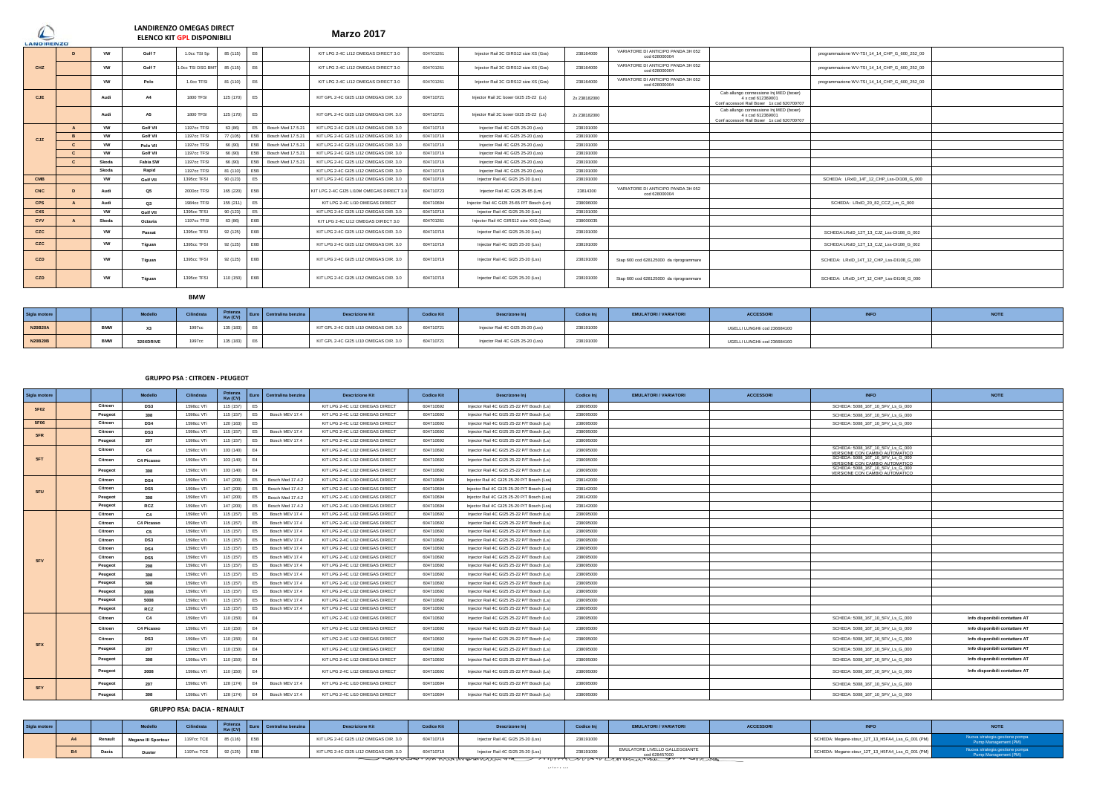**Marzo 2017 LANDIRENZO OMEGAS DIRECT ELENCO KIT GPL DISPONIBILI**

| --------------- |              |                              |                   |               |                |                                                                 |           |                                            |              |                                                     |                                                                                                            |                                              |  |
|-----------------|--------------|------------------------------|-------------------|---------------|----------------|-----------------------------------------------------------------|-----------|--------------------------------------------|--------------|-----------------------------------------------------|------------------------------------------------------------------------------------------------------------|----------------------------------------------|--|
|                 | $\mathbf{D}$ | <b>VW</b><br>Golf 7          | 1.0cc TSI 5p      | 85 (115) E6   |                | KIT LPG 2-4C LI12 OMEGAS DIRECT 3.0                             | 604701261 | Injector Rail 3C GIRS12 size XS (Gxs)      | 238164000    | VARIATORE DI ANTICIPO PANDA 3H 052<br>cod 628000004 |                                                                                                            | programmazione WV-TSI_14_14_CHP_G_600_252_00 |  |
| CHZ             |              | Golf 7<br><b>VW</b>          | 1.0cc TSI DSG BMT | 85 (115)      | E6             | KIT LPG 2-4C LI12 OMEGAS DIRECT 3.0                             | 604701261 | Injector Rail 3C GIRS12 size XS (Gxs)      | 238164000    | VARIATORE DI ANTICIPO PANDA 3H 052<br>cod 628000004 |                                                                                                            | programmazione WV-TSI_14_14_CHP_G_600_252_00 |  |
|                 |              | Polo<br><b>VW</b>            | 1.0cc TFSI        | 81 (110)      | E6             | KIT LPG 2-4C LI12 OMEGAS DIRECT 3.0                             | 604701261 | Injector Rail 3C GIRS12 size XS (Gxs)      | 238164000    | VARIATORE DI ANTICIPO PANDA 3H 052<br>cod 628000004 |                                                                                                            | programmazione WV-TSI_14_14_CHP_G_600_252_00 |  |
| <b>CJE</b>      |              | A4<br>Audi                   | <b>1800 TFSI</b>  | 125 (170)     | E5             | KIT GPL 2-4C GI25 LI10 OMEGAS DIR. 3.0                          | 604710721 | Injector Rail 2C boxer GI25 25-22 (Ls)     | 2x 238182000 |                                                     | Cab allungo connessione Inj MED (boxer)<br>4 x cod 612369001<br>Conf accessori Rail Boxer 1x cod 620700707 |                                              |  |
|                 |              | <b>A5</b><br>Audi            | <b>1800 TFSI</b>  | 125 (170) E5  |                | KIT GPL 2-4C GI25 LI10 OMEGAS DIR. 3.0                          | 604710721 | Injector Rail 2C boxer GI25 25-22 (Ls)     | 2x 238182000 |                                                     | Cab allungo connessione Inj MED (boxer)<br>4 x cod 612369001<br>Conf accessori Rail Boxer 1x cod 620700707 |                                              |  |
|                 |              | <b>Golf VII</b><br><b>VW</b> | 1197cc TFSI       | 63 (86)       |                | Bosch Med 17.5.21<br>KIT LPG 2-4C GI25 LI12 OMEGAS DIR. 3.0     | 604710719 | Injector Rail 4C GI25 25-20 (Lss)          | 238191000    |                                                     |                                                                                                            |                                              |  |
| CJZ             | $\mathbf{R}$ | Golf VII<br><b>VW</b>        | 1197cc TFSI       | 77 (105)      |                | E5B Bosch Med 17.5.21<br>KIT LPG 2-4C GI25 LI12 OMEGAS DIR. 3.0 | 604710719 | Injector Rail 4C GI25 25-20 (Lss)          | 238191000    |                                                     |                                                                                                            |                                              |  |
|                 | $\mathbf{c}$ | <b>VW</b><br>Polo VII        | 1197cc TFSI       | 66 (90)       |                | E5B Bosch Med 17.5.21<br>KIT LPG 2-4C GI25 LI12 OMEGAS DIR. 3.0 | 604710719 | Injector Rail 4C GI25 25-20 (Lss)          | 238191000    |                                                     |                                                                                                            |                                              |  |
|                 |              | <b>VW</b><br>Golf VII        | 1197cc TFSI       | 66 (90)       |                | E5B Bosch Med 17.5.21<br>KIT LPG 2-4C GI25 LI12 OMEGAS DIR. 3.0 | 604710719 | Injector Rail 4C GI25 25-20 (Lss)          | 238191000    |                                                     |                                                                                                            |                                              |  |
|                 | $\mathbf{c}$ | Fabia SW<br>Skoda            | 1197cc TFSI       | 66 (90)       |                | E5B Bosch Med 17.5.21<br>KIT LPG 2-4C GI25 LI12 OMEGAS DIR. 3.0 | 604710719 | Injector Rail 4C GI25 25-20 (Lss)          | 238191000    |                                                     |                                                                                                            |                                              |  |
|                 |              | Rapid<br>Skoda               | 1197cc TFSI       | 81 (110) E5B  |                | KIT LPG 2-4C GI25 LI12 OMEGAS DIR. 3.0                          | 604710719 | Injector Rail 4C GI25 25-20 (Lss)          | 238191000    |                                                     |                                                                                                            |                                              |  |
| <b>CMB</b>      |              | <b>VW</b><br><b>Golf VII</b> | 1395cc TFSI       | 90 (123)      | E <sub>5</sub> | KIT LPG 2-4C GI25 LI12 OMEGAS DIR. 3.0                          | 604710719 | Injector Rail 4C GI25 25-20 (Lss)          | 238191000    |                                                     |                                                                                                            | SCHEDA: LRxID 14T 12 CHP Lss-DI108 G 000     |  |
| CNC             |              | Audi<br>Q5                   | 2000cc TFSI       | 165 (220) E5B |                | KIT LPG 2-4C GI25 LI10M OMEGAS DIRECT 3.                        | 604710723 | Injector Rail 4C GI25 25-65 (Lm)           | 23814300     | VARIATORE DI ANTICIPO PANDA 3H 052<br>cod 628000004 |                                                                                                            |                                              |  |
| <b>CPS</b>      |              | Audi<br>Q3                   | 1984cc TFSI       | 155 (211)     | E <sub>5</sub> | KIT LPG 2-4C LI10 OMEGAS DIRECT                                 | 604710694 | Injector Rail 4C GI25 25-65 P/T Bosch (Lm) | 238096000    |                                                     |                                                                                                            | SCHEDA: LRxID 20 82 CCZ Lm G 000             |  |
| <b>CXS</b>      |              | <b>VW</b><br><b>Golf VII</b> | 1395cc TFSI       | 90 (123) E5   |                | KIT LPG 2-4C GI25 LI12 OMEGAS DIR. 3.0                          | 604710719 | Injector Rail 4C GI25 25-20 (Lss)          | 238191000    |                                                     |                                                                                                            |                                              |  |
| <b>CYV</b>      |              | Octavia<br>Skoda             | 1197cc TFSI       | 63 (86)       | E6B            | KIT LPG 2-4C LI12 OMEGAS DIRECT 3.0                             | 604701261 | Injector Rail 4C GIRS12 size XXS (Gxxs)    | 238000035    |                                                     |                                                                                                            |                                              |  |
| <b>CZC</b>      |              | <b>VW</b><br>Passat          | 1395cc TFSI       | 92 (125) E6B  |                | KIT LPG 2-4C GI25 LI12 OMEGAS DIR. 3.0                          | 604710719 | Injector Rail 4C GI25 25-20 (Lss)          | 238191000    |                                                     |                                                                                                            | SCHEDA:LRxID_12T_13_CJZ_Lss-DI108_G_002      |  |
| <b>CZC</b>      |              | <b>VW</b><br>Tiguan          | 1395cc TFSI       | 92 (125) E6B  |                | KIT LPG 2-4C GI25 LI12 OMEGAS DIR. 3.0                          | 604710719 | Injector Rail 4C GI25 25-20 (Lss)          | 238191000    |                                                     |                                                                                                            | SCHEDA:LRxID_12T_13_CJZ_Lss-DI108_G_002      |  |
| CZD             |              | <b>VW</b><br>Tiguan          | 1395cc TFSI       | 92 (125) E6B  |                | KIT LPG 2-4C GI25 LI12 OMEGAS DIR. 3.0                          | 604710719 | Injector Rail 4C GI25 25-20 (Lss)          | 238191000    | Stap 600 cod 628125000 da riprogrammare             |                                                                                                            | SCHEDA: LRxID_14T_12_CHP_Lss-DI108_G_000     |  |
| <b>CZD</b>      |              | <b>VW</b><br>Tiguan          | 1395cc TFSI       | 110 (150) E6B |                | KIT LPG 2-4C GI25 LI12 OMEGAS DIR. 3.0                          | 604710719 | Injector Rail 4C GI25 25-20 (Lss)          | 238191000    | Stap 600 cod 628125000 da riprogrammare             |                                                                                                            | SCHEDA: LRxID 14T 12 CHP Lss-DI108 G 000     |  |

#### **BMW**

| <b>Sigla motore</b> |             | Modello   | <b>Contact Manager</b> | Potenza   | Centralina benzir | <b>Descrizione Kit</b>                 | <b>Contract Contract Contract Contract Contract Contract Contract Contract Contract Contract Contract Contract Co</b><br><b>Codice Kit</b> | $\mathcal{L}(\mathcal{L})$ and $\mathcal{L}(\mathcal{L})$ and $\mathcal{L}(\mathcal{L})$<br>Descrizone Inj | Codice Inj | EMULATORI / VARIATORI | $\mathcal{L}(\mathcal{L})$ and $\mathcal{L}(\mathcal{L})$ and $\mathcal{L}(\mathcal{L})$<br><b>ACCESSOR</b> |  |
|---------------------|-------------|-----------|------------------------|-----------|-------------------|----------------------------------------|--------------------------------------------------------------------------------------------------------------------------------------------|------------------------------------------------------------------------------------------------------------|------------|-----------------------|-------------------------------------------------------------------------------------------------------------|--|
| <b>N20B20A</b>      | <b>DARM</b> |           | 1997c                  | 135 (183) | E6                | KIT GPL 2-4C GI25 LI10 OMEGAS DIR. 3.0 | 604710721                                                                                                                                  | Injector Rail 4C GI25 25-20 (Lss)                                                                          | 238191000  |                       | UGELLI LUNGHIi cod 236684100                                                                                |  |
| <b>N20B20B</b>      |             | 320XDRIVE | 1997cc                 | 135 (183) | E <sub>6</sub>    | KIT GPL 2-4C GI25 LI10 OMEGAS DIR. 3.0 | 604710721                                                                                                                                  | Injector Rail 4C GI25 25-20 (Lss)                                                                          | 238191000  |                       | UGELLI LUNGHIi cod 236684100                                                                                |  |

### **GRUPPO PSA : CITROEN - PEUGEOT**

| Sigla motore |         | Modello    | Cilindrata | Potenza<br>Kw (CV) | Euro           | Centralina benzina | <b>Descrizione Kit</b>          | <b>Codice Kit</b> | <b>Descrizone Ini</b>                       | <b>Codice Ini</b> | <b>EMULATORI / VARIATORI</b> | <b>ACCESSORI</b> | <b>INFO</b>                                                        | <b>NOTE</b>                    |
|--------------|---------|------------|------------|--------------------|----------------|--------------------|---------------------------------|-------------------|---------------------------------------------|-------------------|------------------------------|------------------|--------------------------------------------------------------------|--------------------------------|
| <b>5F02</b>  | Citroen | DS3        | 1598cc VTi | 115 (157)          | E5             |                    | KIT LPG 2-4C LI12 OMEGAS DIRECT | 604710692         | Injector Rail 4C GI25 25-22 P/T Bosch (Ls)  | 238095000         |                              |                  | SCHEDA: 5008 16T 10 5FV Ls G 000                                   |                                |
|              | Peugeot | 308        | 1598cc VTi | 115 (157)          |                | Bosch MEV 17.4     | KIT LPG 2-4C LI12 OMEGAS DIRECT | 604710692         | Injector Rail 4C GI25 25-22 P/T Bosch (Ls)  | 238095000         |                              |                  | SCHEDA: 5008 16T 10 5FV Ls G 000                                   |                                |
| <b>5F06</b>  | Citroen | DS4        | 1598cc VTi | 120 (163)          | F <sub>5</sub> |                    | KIT LPG 2-4C LI12 OMEGAS DIRECT | 604710692         | Injector Rail 4C GI25 25-22 P/T Bosch (Ls)  | 238095000         |                              |                  | SCHEDA: 5008_16T_10_5FV_Ls_G_000                                   |                                |
| 5FR          | Citroen | DS3        | 1598cc VTi | 115 (157)          | E <sub>5</sub> | Bosch MEV 17.4     | KIT LPG 2-4C LI12 OMEGAS DIRECT | 604710692         | Injector Rail 4C GI25 25-22 P/T Bosch (Ls)  | 238095000         |                              |                  |                                                                    |                                |
|              | Peugeot | 207        | 1598cc VTi | 115 (157)          | F <sub>5</sub> | Bosch MEV 17.4     | KIT LPG 2-4C LI12 OMEGAS DIRECT | 604710692         | Injector Rail 4C GI25 25-22 P/T Bosch (Ls)  | 238095000         |                              |                  |                                                                    |                                |
|              | Citroen | C4         | 1598cc VTi | 103 (140)          | F4             |                    | KIT LPG 2-4C LI12 OMEGAS DIRECT | 604710692         | Injector Rail 4C GI25 25-22 P/T Bosch (Ls)  | 238095000         |                              |                  | SCHEDA: 5008_16T_10_5FV_Ls_G_000<br>VERSIONE CON CAMBIO AUTOMATICO |                                |
| <b>5FT</b>   | Citroen | C4 Picasso | 1598cc VTi | 103 (140)          | E4             |                    | KIT LPG 2-4C LI12 OMEGAS DIRECT | 604710692         | Injector Rail 4C GI25 25-22 P/T Bosch (Ls)  | 238095000         |                              |                  | SCHEDA: 5008 16T 10 5FV Ls G 000<br>VERSIONE CON CAMBIO AUTOMATICO |                                |
|              | Peugeot | 308        | 1598cc VTi | 103 (140)          | E4             |                    | KIT LPG 2-4C LI12 OMEGAS DIRECT | 604710692         | Injector Rail 4C GI25 25-22 P/T Bosch (Ls)  | 238095000         |                              |                  | SCHEDA: 5008 16T 10 5FV Ls G 000<br>VERSIONE CON CAMBIO AUTOMATICO |                                |
|              | Citroen | DS4        | 1598cc VTi | 147 (200)          | E5             | Bosch Med 17.4.2   | KIT LPG 2-4C LI10 OMEGAS DIRECT | 604710694         | Injector Rail 4C GI25 25-20 P/T Bosch (Lss) | 238142000         |                              |                  |                                                                    |                                |
| 5FL          | Citroen | DS5        | 1598cc VTi | 147 (200)          | E5             | Bosch Med 17.4.2   | KIT LPG 2-4C LI10 OMEGAS DIRECT | 604710694         | Injector Rail 4C GI25 25-20 P/T Bosch (Lss) | 238142000         |                              |                  |                                                                    |                                |
|              | Peugeot | 308        | 1598cc VTi | 147 (200)          | E5             | Bosch Med 17.4.2   | KIT LPG 2-4C LI10 OMEGAS DIRECT | 604710694         | Injector Rail 4C GI25 25-20 P/T Bosch (Lss) | 238142000         |                              |                  |                                                                    |                                |
|              | Peugeot | <b>RCZ</b> | 1598cc VTi | 147 (200)          | E5             | Bosch Med 17.4.2   | KIT LPG 2-4C LI10 OMEGAS DIRECT | 604710694         | Injector Rail 4C GI25 25-20 P/T Bosch (Lss) | 238142000         |                              |                  |                                                                    |                                |
|              | Citroen | C4         | 1598cc VTi | 115 (157)          | F <sub>5</sub> | Bosch MEV 17.4     | KIT LPG 2-4C LI12 OMEGAS DIRECT | 604710692         | Injector Rail 4C GI25 25-22 P/T Bosch (Ls)  | 238095000         |                              |                  |                                                                    |                                |
|              | Citroen | C4 Picasso | 1598cc VTi | 115 (157)          | F <sub>5</sub> | Bosch MEV 17.4     | KIT LPG 2-4C LI12 OMEGAS DIRECT | 604710692         | Injector Rail 4C GI25 25-22 P/T Bosch (Ls)  | 238095000         |                              |                  |                                                                    |                                |
|              | Citroen | C5         | 1598cc VTi | 115 (157)          |                | Bosch MEV 17.4     | KIT LPG 2-4C LI12 OMEGAS DIRECT | 604710692         | Injector Rail 4C GI25 25-22 P/T Bosch (Ls)  | 238095000         |                              |                  |                                                                    |                                |
|              | Citroen | DS3        | 1598cc VTi | 115 (157)          |                | Bosch MEV 17.4     | KIT LPG 2-4C LI12 OMEGAS DIRECT | 604710692         | Injector Rail 4C GI25 25-22 P/T Bosch (Ls)  | 238095000         |                              |                  |                                                                    |                                |
|              | Citroen | DS4        | 1598cc VTi | 115 (157)          |                | Bosch MEV 17.4     | KIT LPG 2-4C LI12 OMEGAS DIRECT | 604710692         | Injector Rail 4C GI25 25-22 P/T Bosch (Ls)  | 238095000         |                              |                  |                                                                    |                                |
| 5FV          | Citroen | DS5        | 1598cc VTi | 115 (157)          |                | Bosch MEV 17.4     | KIT LPG 2-4C LI12 OMEGAS DIRECT | 604710692         | Injector Rail 4C GI25 25-22 P/T Bosch (Ls)  | 238095000         |                              |                  |                                                                    |                                |
|              | Peugeot | 208        | 1598cc VTi | 115 (157)          |                | Bosch MEV 17.4     | KIT LPG 2-4C LI12 OMEGAS DIRECT | 604710692         | Injector Rail 4C GI25 25-22 P/T Bosch (Ls)  | 238095000         |                              |                  |                                                                    |                                |
|              | Peugeot | 308        | 1598cc VTi | 115 (157)          | F <sub>5</sub> | Bosch MEV 17.4     | KIT LPG 2-4C LI12 OMEGAS DIRECT | 604710692         | Injector Rail 4C GI25 25-22 P/T Bosch (Ls)  | 238095000         |                              |                  |                                                                    |                                |
|              | Peugeot | 508        | 1598cc VTi | 115 (157)          | F <sub>5</sub> | Bosch MEV 17.4     | KIT LPG 2-4C LI12 OMEGAS DIRECT | 604710692         | Injector Rail 4C GI25 25-22 P/T Bosch (Ls)  | 238095000         |                              |                  |                                                                    |                                |
|              | Peugeot | 3008       | 1598cc VTi | 115 (157)          | F <sub>5</sub> | Bosch MEV 17.4     | KIT LPG 2-4C LI12 OMEGAS DIRECT | 604710692         | Injector Rail 4C GI25 25-22 P/T Bosch (Ls)  | 238095000         |                              |                  |                                                                    |                                |
|              | Peugeot | 5008       | 1598cc VTi | 115 (157)          | E5             | Bosch MEV 17.4     | KIT LPG 2-4C LI12 OMEGAS DIRECT | 604710692         | Injector Rail 4C GI25 25-22 P/T Bosch (Ls)  | 238095000         |                              |                  |                                                                    |                                |
|              | Peugeot | <b>RCZ</b> | 1598cc VTi | 115 (157)          | E5             | Bosch MEV 17.4     | KIT LPG 2-4C LI12 OMEGAS DIRECT | 604710692         | Injector Rail 4C GI25 25-22 P/T Bosch (Ls)  | 238095000         |                              |                  |                                                                    |                                |
|              | Citroen | C4         | 1598cc VTi | 110 (150)          | E4             |                    | KIT LPG 2-4C LI12 OMEGAS DIRECT | 604710692         | Injector Rail 4C GI25 25-22 P/T Bosch (Ls)  | 238095000         |                              |                  | SCHEDA: 5008 16T 10 5FV Ls G 000                                   | Info disponibili contattare AT |
|              | Citroen | C4 Picasso | 1598cc VTi | 110 (150)          | F4             |                    | KIT LPG 2-4C LI12 OMEGAS DIRECT | 604710692         | Injector Rail 4C GI25 25-22 P/T Bosch (Ls)  | 238095000         |                              |                  | SCHEDA: 5008 16T 10 5FV Ls G 000                                   | Info disponibili contattare AT |
|              | Citroen | DS3        | 1598cc VTi | 110 (150)          | F4             |                    | KIT LPG 2-4C LI12 OMEGAS DIRECT | 604710692         | Injector Rail 4C GI25 25-22 P/T Bosch (Ls)  | 238095000         |                              |                  | SCHEDA: 5008 16T 10 5FV Ls G 000                                   | Info disponibili contattare AT |
| 5FX          | Peugeot | 207        | 1598cc VTi | 110 (150)          | F4             |                    | KIT LPG 2-4C LI12 OMEGAS DIRECT | 604710692         | Injector Rail 4C GI25 25-22 P/T Bosch (Ls)  | 238095000         |                              |                  | SCHEDA: 5008_16T_10_5FV_Ls_G_000                                   | Info disponibili contattare AT |
|              | Peugeot | 308        | 1598cc VTi | 110 (150)          | F4             |                    | KIT LPG 2-4C LI12 OMEGAS DIRECT | 604710692         | Injector Rail 4C GI25 25-22 P/T Bosch (Ls)  | 238095000         |                              |                  | SCHEDA: 5008_16T_10_5FV_Ls_G_000                                   | Info disponibili contattare AT |
|              | Peugeot | 3008       | 1598cc VTi | 110 (150)          | F4             |                    | KIT LPG 2-4C LI12 OMEGAS DIRECT | 604710692         | Injector Rail 4C GI25 25-22 P/T Bosch (Ls)  | 238095000         |                              |                  | SCHEDA: 5008_16T_10_5FV_Ls_G_000                                   | Info disponibili contattare AT |
|              | Peugeot | 207        | 1598cc VTi | 128 (174)          |                | Bosch MEV 17.4     | KIT LPG 2-4C LI10 OMEGAS DIRECT | 604710694         | Injector Rail 4C GI25 25-22 P/T Bosch (Ls)  | 238095000         |                              |                  | SCHEDA: 5008_16T_10_5FV_Ls_G_000                                   |                                |
| 5FY          | Peugeot | 308        | 1598cc VTi | 128 (174)          | F4             | Bosch MEV 17.4     | KIT LPG 2-4C LI10 OMEGAS DIRECT | 604710694         | Injector Rail 4C GI25 25-22 P/T Bosch (Ls)  | 238095000         |                              |                  | SCHEDA: 5008_16T_10_5FV_Ls_G_000                                   |                                |

# **GRUPPO RSA: DACIA - RENAULT**

| Sigla motore |              | Modell<br><b>MORGIN</b>    | <b>CONTRACTOR</b><br>umarata | Kw (CV)      | <b>Descrizione Kit</b>                 | <b>Codice Kit</b> | Descrizone Inj                    | Codice Inj | <b>EMULATORI / VARIATORI</b>                    | <b>ACCESSORI</b> |                                                  | <b>NOTE</b> |
|--------------|--------------|----------------------------|------------------------------|--------------|----------------------------------------|-------------------|-----------------------------------|------------|-------------------------------------------------|------------------|--------------------------------------------------|-------------|
|              | Rena         | <b>Megane III Sportour</b> | 1197cc TCF                   | 85 (116) E5B | KIT LPG 2-4C GI25 LI12 OMEGAS DIR. 3.0 | 604710719         | Injector Rail 4C GI25 25-20 (Lss) | 238191000  |                                                 |                  | SCHEDA: Megane-stour 12T 13 H5FA4 Lss G 001 (PM) |             |
|              | <b>Dacia</b> | <b>Duster</b>              | 1197cc TCE                   | 02/12FL      | KIT LPG 2-4C GI25 LI12 OMEGAS DIR 3.0  | 604710719         | Injector Rail 4C GI25 25-20 (Lss) | 238191000  | EMULATORE LIVELLO GALLEGGIANTE<br>cod 628457000 |                  | SCHEDA: Megane-stour_12T_13_H5FA4_Lss_G_001 (PM) |             |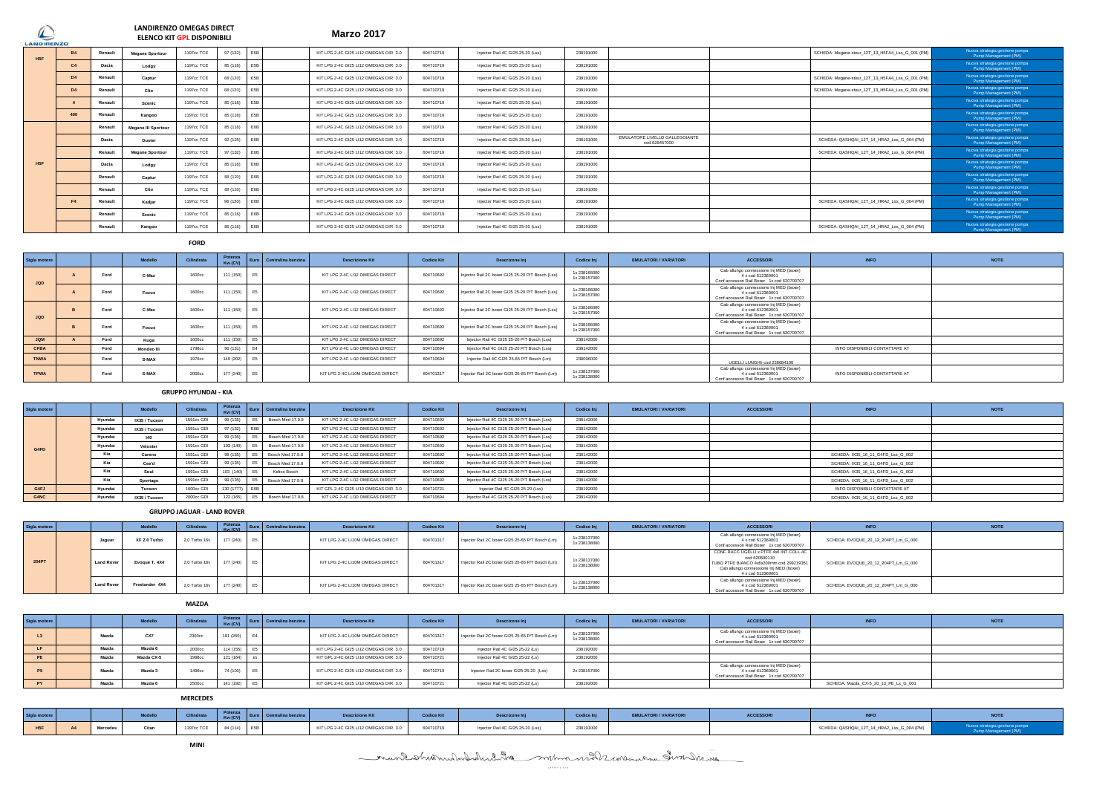**Marzo 2017 LANDIRENZO OMEGAS DIRECT ELENCO KIT GPL DISPONIBILI**

| LANDIRENZO     |         |                        |            |                                                                                                                       |                                                                                              | Marzo zu M                             |           |                                   |           |                                                 |                                                  |                                                        |
|----------------|---------|------------------------|------------|-----------------------------------------------------------------------------------------------------------------------|----------------------------------------------------------------------------------------------|----------------------------------------|-----------|-----------------------------------|-----------|-------------------------------------------------|--------------------------------------------------|--------------------------------------------------------|
|                | Renault | <b>Megane Sportour</b> | 1197cc TCE | F5B                                                                                                                   |                                                                                              | KIT LPG 2-4C GI25 LI12 OMEGAS DIR. 3.0 | 604710719 | Injector Rail 4C GI25 25-20 (Lss) | 238191000 |                                                 | SCHEDA: Megane-stour 12T 13 H5FA4 Lss G 001 (PM) | Nuova strategia gestione pompa<br>Pump Management (PM) |
| C.             | Dacia   | Lodgy                  | 1197cc TCE | F <sub>5</sub> R                                                                                                      |                                                                                              | KIT LPG 2-4C GI25 LI12 OMEGAS DIR. 3.0 | 604710719 | Injector Rail 4C GI25 25-20 (Lss) | 238191000 |                                                 |                                                  | Nuova strategia gestione pompa<br>Pump Management (PM) |
| D <sub>4</sub> | Renault | Captur                 | 1197cc TCE | F5B                                                                                                                   |                                                                                              | KIT LPG 2-4C GI25 LI12 OMEGAS DIR. 3.0 | 604710719 | Injector Rail 4C GI25 25-20 (Lss) | 238191000 |                                                 | SCHEDA: Megane-stour 12T 13 H5FA4 Lss G 001 (PM) | Nuova strategia gestione pompa<br>Pump Management (PM) |
| D <sub>4</sub> | Renault | Clio                   | 1197cc TCE | F5B                                                                                                                   |                                                                                              | KIT LPG 2-4C GI25 LI12 OMEGAS DIR. 3.0 | 604710719 | Injector Rail 4C GI25 25-20 (Lss) | 238191000 |                                                 | SCHEDA: Megane-stour 12T 13 H5FA4 Lss G 001 (PM) | Nuova strategia gestione pompa<br>Pump Management (PM) |
|                | Renault | Scenic                 | 1197cc TCE | F <sub>5</sub> R                                                                                                      |                                                                                              | KIT LPG 2-4C GI25 LI12 OMEGAS DIR. 3.0 | 604710719 | Injector Rail 4C GI25 25-20 (Lss) | 238191000 |                                                 |                                                  | Nuova strategia gestione pompa<br>Pump Management (PM) |
| 400            | Renault | Kangoo                 | 1197cc TCE | <b>F5B</b>                                                                                                            |                                                                                              | KIT LPG 2-4C GI25 LI12 OMEGAS DIR. 3.0 | 604710719 | Injector Rail 4C GI25 25-20 (Lss) | 238191000 |                                                 |                                                  | Nuova strategia gestione pompa<br>Pump Management (PM) |
|                | Renault | Megane III Sportour    | 1197cc TCE | <b>F6R</b>                                                                                                            |                                                                                              | KIT LPG 2-4C GI25 LI12 OMEGAS DIR. 3.0 | 604710719 | Injector Rail 4C GI25 25-20 (Lss) | 238191000 |                                                 |                                                  | Nuova strategia gestione pompa<br>Pump Management (PM) |
|                | Dacia   | <b>Duster</b>          | 1197cc TCE | F6B                                                                                                                   |                                                                                              | KIT LPG 2-4C GI25 LI12 OMEGAS DIR. 3.0 | 604710719 | Injector Rail 4C GI25 25-20 (Lss) | 238191000 | EMULATORE LIVELLO GALLEGGIANTE<br>cod 628457000 | SCHEDA: QASHQAI 12T 14 HRA2 Lss G 004 (PM)       | Nuova strategia gestione pompa<br>Pump Management (PM) |
|                | Renault | <b>Megane Sportour</b> | 1197cc TCE | F6B                                                                                                                   |                                                                                              | KIT LPG 2-4C GI25 LI12 OMEGAS DIR. 3.0 | 604710719 | Injector Rail 4C GI25 25-20 (Lss) | 238191000 |                                                 | SCHEDA: QASHQAI 12T 14 HRA2 Lss G 004 (PM)       | Nuova strategia gestione pompa<br>Pump Management (PM) |
|                | Dacia   | Loday                  | 1197cc TCE | <b>F6B</b>                                                                                                            |                                                                                              | KIT LPG 2-4C GI25 LI12 OMEGAS DIR. 3.0 | 604710719 | Injector Rail 4C GI25 25-20 (Lss) | 238191000 |                                                 |                                                  | Nuova strategia gestione pompa<br>Pump Management (PM) |
|                | Renault | Captur                 | 1197cc TCE | F6B                                                                                                                   |                                                                                              | KIT LPG 2-4C GI25 LI12 OMEGAS DIR. 3.0 | 604710719 | Injector Rail 4C GI25 25-20 (Lss) | 238191000 |                                                 |                                                  | Nuova strategia gestione pompa<br>Pump Management (PM) |
|                | Renault | Clio                   | 1197cc TCE | F6B                                                                                                                   |                                                                                              | KIT LPG 2-4C GI25 LI12 OMEGAS DIR. 3.0 | 604710719 | Injector Rail 4C GI25 25-20 (Lss) | 238191000 |                                                 |                                                  | Nuova strategia gestione pompa<br>Pump Management (PM) |
| F4             | Renault | Kadiar                 | 1197cc TCE | F6B                                                                                                                   |                                                                                              | KIT LPG 2-4C GI25 LI12 OMEGAS DIR. 3.0 | 604710719 | Injector Rail 4C GI25 25-20 (Lss) | 238191000 |                                                 | SCHEDA: QASHQAI 12T 14 HRA2 Lss G 004 (PM)       | Nuova strategia gestione pompa<br>Pump Management (PM) |
|                | Renault | Scenic                 | 1197cc TCE | <b>F6B</b>                                                                                                            |                                                                                              | KIT LPG 2-4C GI25 LI12 OMEGAS DIR. 3.0 | 604710719 | Injector Rail 4C GI25 25-20 (Lss) | 238191000 |                                                 |                                                  | Nuova strategia gestione pompa<br>Pump Management (PM) |
|                | Renault | Kangoo                 | 1197cc TCE | E6B                                                                                                                   |                                                                                              | KIT LPG 2-4C GI25 LI12 OMEGAS DIR. 3.0 | 604710719 | Injector Rail 4C GI25 25-20 (Lss) | 238191000 |                                                 | SCHEDA: QASHQAI 12T 14 HRA2 Lss G 004 (PM)       | Nuova strategia gestione pompa<br>Pump Management (PM) |
|                |         |                        |            | <b>ELENCO KIT GPL DISPONIBILI</b><br>97 (132)<br>85 (116)<br>88 (120)<br>88 (120)<br>92 (125)<br>85 (116)<br>88 (120) | 85 (116)<br>85 (116)<br>85 (116)<br>97 (132)<br>88 (120)<br>96 (130)<br>85 (116)<br>85 (116) |                                        |           |                                   |           |                                                 |                                                  |                                                        |

**FORD**

| Sigla motore |      | Modello      | Cilindrata | Potenza<br>Kw (CV) |                | Euro Centralina benzina | <b>Descrizione Kit</b>           | <b>Codice Kit</b> | Descrizone Inj                                    | Codice Inj                 | <b>EMULATORI / VARIATORI</b> | <b>ACCESSORI</b>                                                                                           | <b>INFO</b>                    | <b>NOTE</b> |
|--------------|------|--------------|------------|--------------------|----------------|-------------------------|----------------------------------|-------------------|---------------------------------------------------|----------------------------|------------------------------|------------------------------------------------------------------------------------------------------------|--------------------------------|-------------|
| <b>JQD</b>   | Ford | C-Max        | 1600cc     | 111 (150)          | E <sub>5</sub> |                         | KIT LPG 2-4C LI12 OMEGAS DIRECT  | 604710692         | Injector Rail 2C boxer GI25 25-20 P/T Bosch (Lss) | 1x238166000<br>1x238157000 |                              | Cab allungo connessione Inj MED (boxer)<br>4 x cod 612369001<br>Conf accessori Rail Boxer 1x cod 620700707 |                                |             |
|              | Ford | <b>Focus</b> | 1600cc     | 111 (150)          | E5             |                         | KIT LPG 2-4C LI12 OMEGAS DIRECT  | 604710692         | Injector Rail 2C boxer GI25 25-20 P/T Bosch (Lss) | 1x238166000<br>1x238157000 |                              | Cab allungo connessione Inj MED (boxer)<br>4 x cod 612369001<br>Conf accessori Rail Boxer 1x cod 620700707 |                                |             |
| <b>JQD</b>   | Ford | C-Max        | 1600cc     | 111 (150)          | E5             |                         | KIT LPG 2-4C LI12 OMEGAS DIRECT  | 604710692         | Injector Rail 2C boxer GI25 25-20 P/T Bosch (Lss) | 1x238166000<br>1x238157000 |                              | Cab allungo connessione Inj MED (boxer)<br>4 x cod 612369001<br>Conf accessori Rail Boxer 1x cod 620700707 |                                |             |
|              | Ford | <b>Focus</b> | 1600cc     | 111 (150)          | E5             |                         | KIT LPG 2-4C LI12 OMEGAS DIRECT  | 604710692         | Injector Rail 2C boxer GI25 25-20 P/T Bosch (Lss) | 1x238166000<br>1x238157000 |                              | Cab allungo connessione Inj MED (boxer)<br>4 x cod 612369001<br>Conf accessori Rail Boxer 1x cod 620700707 |                                |             |
| <b>JQM</b>   | Ford | Kuga         | 1600cc     | 111 (150)          |                |                         | KIT LPG 2-4C LI12 OMEGAS DIRECT  | 604710692         | Injector Rail 4C GI25 25-20 P/T Bosch (Lss)       | 238142000                  |                              |                                                                                                            |                                |             |
| <b>CFBA</b>  | Ford | Mondeo III   | 1798cc     | 96 (131)           |                |                         | KIT LPG 2-4C LI10 OMEGAS DIRECT  | 604710694         | Injector Rail 4C GI25 25-20 P/T Bosch (Lss)       | 238142000                  |                              |                                                                                                            | INFO DISPONIBILI CONTATTARE AT |             |
| TNWA         | Ford | S-MAX        | 1976cc     | 149 (202)          |                |                         | KIT LPG 2-4C LI10 OMEGAS DIRECT  | 604710694         | Injector Rail 4C GI25 25-65 P/T Bosch (Lm)        | 238096000                  |                              | UGELLI LUNGHIi cod 236684100                                                                               |                                |             |
| <b>TPWA</b>  | Ford | S-MAX        | 2000cc     | 177 (240)          | F <sub>5</sub> |                         | KIT LPG 2-4C LI10M OMEGAS DIRECT | 604701317         | Injector Rail 2C boxer GI25 25-65 P/T Bosch (Lm)  | 1x238137000<br>1x238138000 |                              | Cab allungo connessione Inj MED (boxer)<br>4 x cod 612369001<br>Conf accessori Rail Boxer 1x cod 620700707 | INFO DISPONIBILI CONTATTARE AT |             |

#### **GRUPPO HYUNDAI - KIA**

| Sigla motore |         | Modello       | Cilindrata | Kw (CV)        |      | Potenza Euro Centralina benzina | <b>Descrizione Kit</b>                 | <b>Codice Kit</b> | Descrizone Ini                              | Codice Ini | <b>EMULATORI / VARIATORI</b> | <b>ACCESSORI</b> | <b>INFO</b>                       | <b>NOTE</b> |
|--------------|---------|---------------|------------|----------------|------|---------------------------------|----------------------------------------|-------------------|---------------------------------------------|------------|------------------------------|------------------|-----------------------------------|-------------|
|              | Hyundai | IX35 / Tucson | 1591cc GDI | 99 (135)       |      | Bosch Med 17.9.8                | KIT LPG 2-4C LI12 OMEGAS DIRECT        | 604710692         | Injector Rail 4C GI25 25-20 P/T Bosch (Lss) | 238142000  |                              |                  |                                   |             |
|              | Hyundai | IX35 / Tucson | 1591cc GDI | 97 (132) E6B   |      |                                 | KIT LPG 2-4C LI12 OMEGAS DIRECT        | 604710692         | Injector Rail 4C GI25 25-20 P/T Bosch (Lss) | 238142000  |                              |                  |                                   |             |
|              | Hvundai | 140           | 1591cc GDI | 99 (135)       |      | Bosch Med 17.9.8                | KIT LPG 2-4C LI12 OMEGAS DIRECT        | 604710692         | Injector Rail 4C GI25 25-20 P/T Bosch (Lss) | 238142000  |                              |                  |                                   |             |
| G4FD         | Hvundai | Veloster      | 1591cc GDI | 103 (140)      |      | Bosch Med 17.9.8                | KIT LPG 2-4C LI12 OMEGAS DIRECT        | 604710692         | Injector Rail 4C GI25 25-20 P/T Bosch (Lss) | 238142000  |                              |                  |                                   |             |
|              | Кiя     | Carens        | 1591cc GDI | 99 (135)       |      | Bosch Med 17.9.8                | KIT LPG 2-4C LI12 OMEGAS DIRECT        | 604710692         | Injector Rail 4C GI25 25-20 P/T Bosch (Lss) | 238142000  |                              |                  | SCHEDA: IX35_16_11_G4FD_Lss_G_002 |             |
|              | Kia     | Cee'd         | 1591cc GDI | 99 (135)       |      | Bosch Med 17.9.8                | KIT LPG 2-4C LI12 OMEGAS DIRECT        | 604710692         | Injector Rail 4C GI25 25-20 P/T Bosch (Lss) | 238142000  |                              |                  | SCHEDA: IX35_16_11_G4FD_Lss_G_002 |             |
|              | Кiя     | Soul          | 1591cc GDI | 103 (140)      |      | Kefico Bosch                    | KIT LPG 2-4C LI12 OMEGAS DIRECT        | 604710692         | Injector Rail 4C GI25 25-20 P/T Bosch (Lss) | 238142000  |                              |                  | SCHEDA: IX35_16_11_G4FD_Lss_G_002 |             |
|              | Kia     | Sportage      | 1591cc GDI | 99 (135)       |      | Bosch Med 17.9.8                | KIT LPG 2-4C LI12 OMEGAS DIRECT        | 604710692         | Injector Rail 4C GI25 25-20 P/T Bosch (Lss) | 238142000  |                              |                  | SCHEDA: IX35_16_11_G4FD_Lss_G_002 |             |
| G4FJ         | Hvundai | Tucson        | 1600cc GDI | 130 (1777) E6B |      |                                 | KIT GPL 2-4C GI25 LI10 OMEGAS DIR. 3.0 | 604710721         | Injector Rail 4C GI25 25-20 (Lss)           | 238192000  |                              |                  | INFO DISPONIBILI CONTATTARE AT    |             |
| G4NC         | Hyundai | IX35 / Tucson | 2000cc GDI | 122 (165)      | F5 L | Bosch Med 17.9.8                | KIT LPG 2-4C LI10 OMEGAS DIRECT        | 604710694         | Injector Rail 4C GI25 25-20 P/T Bosch (Lss) | 238142000  |                              |                  | SCHEDA: IX35 16 11 G4FD Lss G 002 |             |

# **GRUPPO JAGUAR - LAND ROVER**

| Sigla motore |                   | Modello        | Cilindrata    | Potenza      | $K_W(CV)$ Euro Centralina benzina | <b>Descrizione Kit</b>           | <b>Codice Kit</b> | Descrizone Inj                                   | Codice Inj                  | <b>EMULATORI / VARIATORI</b> | <b>ACCESSORI</b>                                                                                                                                                     |                                     | <b>NOTE</b> |
|--------------|-------------------|----------------|---------------|--------------|-----------------------------------|----------------------------------|-------------------|--------------------------------------------------|-----------------------------|------------------------------|----------------------------------------------------------------------------------------------------------------------------------------------------------------------|-------------------------------------|-------------|
|              | Jaguar            | XF 2.0 Turbo   | 2.0 Turbo 16v | 177 (240) E5 |                                   | KIT LPG 2-4C LI10M OMEGAS DIRECT | 60470131          | Injector Rail 2C boxer GI25 25-65 P/T Bosch (Lm) | 1x238137000<br>1x 238138000 |                              | Cab allungo connessione Inj MED (boxer)<br>4 x cod 612369001<br>Conf accessori Rail Boxer 1x cod 620700707                                                           | SCHEDA: EVOQUE_20_12_204PT_Lm_G_000 |             |
| 204PT        | <b>Land Rover</b> | Evoque T. 4X4  | 2.0 Turbo 16v | 177 (240) E5 |                                   | KIT LPG 2-4C LI10M OMEGAS DIRECT | 604701317         | Injector Rajl 2C boxer GI25 25-65 P/T Bosch (Lm) | 1x238137000<br>1x238138000  |                              | CONF.RACC.UGELLI x PTFE 4x6 INT.COLL.4C<br>cod 620500110<br>TUBO PTFE BIANCO 4x6x200mm cod 299219351<br>Cab allungo connessione Inj MED (boxer)<br>4 x cod 612369001 | SCHEDA: EVOQUE 20 12 204PT Lm G 000 |             |
|              | <b>Land Rover</b> | Freelander 4X4 | 2.0 Turbo 16v | 177 (240) E5 |                                   | KIT LPG 2-4C LI10M OMEGAS DIRECT | 604701317         | Injector Rail 2C boxer GI25 25-65 P/T Bosch (Lm) | 1x238137000<br>1x238138000  |                              | Cab allungo connessione Inj MED (boxer)<br>4 x cod 612369001<br>Conf accessori Rail Boxer 1x cod 620700707                                                           | SCHEDA: EVOQUE 20 12 204PT Lm G 000 |             |

### **MAZDA**

| Sigla motore |       | Modello    | Cilindrata | Kw (CV)      | Potenza Euro Centralina benzina | <b>Descrizione Kit</b>                 | <b>Codice Kit</b> | Descrizone Inj                                   | Codice Inj                 | <b>EMULATORI / VARIATORI</b> | <b>ACCESSORI</b>                                                                                           | <b>INFO</b>                          | <b>NOTE</b> |
|--------------|-------|------------|------------|--------------|---------------------------------|----------------------------------------|-------------------|--------------------------------------------------|----------------------------|------------------------------|------------------------------------------------------------------------------------------------------------|--------------------------------------|-------------|
| L3           | Mazda | CX7        | 2300cc     | 191 (260) E4 |                                 | KIT LPG 2-4C LI10M OMEGAS DIRECT       | 604701317         | Injector Rail 2C boxer GI25 25-65 P/T Bosch (Lm) | 1x238137000<br>1x238138000 |                              | Cab allungo connessione Inj MED (boxer)<br>4 x cod 612369001<br>Conf accessori Rail Boxer 1x cod 620700707 |                                      |             |
| LF.          | Mazda | Mazda 6    | 2000cc     | 114 (155)    | E5                              | KIT LPG 2-4C GI25 LI12 OMEGAS DIR. 3.0 | 604710719         | Injector Rail 4C GI25 25-22 (Ls)                 | 238192000                  |                              |                                                                                                            |                                      |             |
| PE           | Mazda | Mazda CX-5 | 1998cc     | 121 (16)     |                                 | KIT GPL 2-4C GI25 LI10 OMEGAS DIR. 3.0 | 604710721         | Injector Rail 4C GI25 25-22 (Ls)                 | 238192000                  |                              |                                                                                                            |                                      |             |
| <b>P5</b>    | Mazda | Mazda 3    | 1496cc     | 74 (100) E5  |                                 | KIT LPG 2-4C GI25 LI12 OMEGAS DIR. 3.0 | 604710719         | Injector Rail 2C boxer GI25 25-20 (Lss)          | 2x 238157000               |                              | Cab allungo connessione Inj MED (boxer)<br>4 x cod 612369001<br>Conf accessori Rail Boxer 1x cod 620700707 |                                      |             |
| <b>PY</b>    | Mazda | Mazda 6    | 2500cc     | 141 (192) E5 |                                 | KIT GPL 2-4C GI25 LI10 OMEGAS DIR. 3.0 | 604710721         | Injector Rail 4C GI25 25-22 (Ls)                 | 238192000                  |                              |                                                                                                            | SCHEDA: Mazda CX-5 20 13 PE Ls G 001 |             |

### **MERCEDES**

| gla motore |    |          | <b>STATE OF STATE OF STATE OF STATE OF STATE OF STATE OF STATE OF STATE OF STATE OF STATE OF STATE OF STATE OF S</b><br>$100 - 1000 - 1000$ | -----               |          |                  | Descrizione Kit                        | Codice Kit |                                   | Podice In L | ACCESSON |                                             |  |
|------------|----|----------|---------------------------------------------------------------------------------------------------------------------------------------------|---------------------|----------|------------------|----------------------------------------|------------|-----------------------------------|-------------|----------|---------------------------------------------|--|
| <b>H5F</b> | A4 | Mercedes | Citan                                                                                                                                       | . TAP.<br>1970a 10a | 84 (114) | E <sub>5</sub> B | KIT LPG 2-4C GI25 LI12 OMEGAS DIR. 3.0 | 604710710  | Injector Rail 4C GI25 25-20 (Lss) | 238191000   |          | SCHEDA: OASHOAI 12T 14 HRA2 I ss G 004 (PM) |  |

mentoshin malmondad mind manufacture